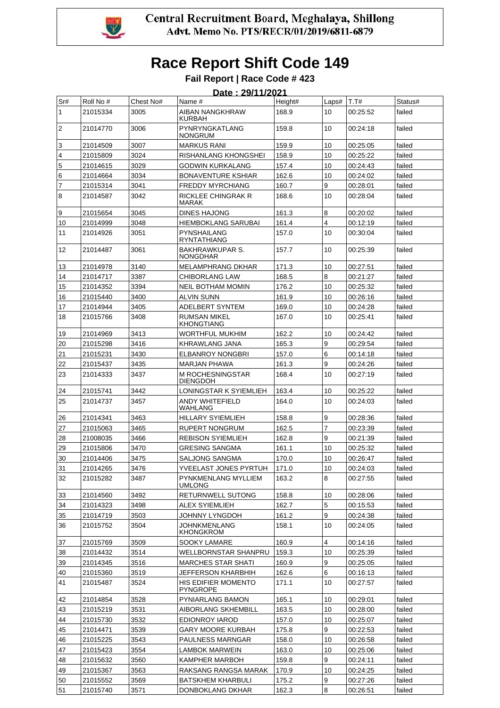

#### **Fail Report | Race Code # 423 Date : 29/11/2021**

|                |                      |           | <u> Date : 29/11/2021</u>                 |         |                |                      |         |
|----------------|----------------------|-----------|-------------------------------------------|---------|----------------|----------------------|---------|
| Sr#            | Roll No #            | Chest No# | Name #                                    | Height# | Laps#          | T.T#                 | Status# |
| 1              | 21015334             | 3005      | AIBAN NANGKHRAW<br>KURBAH                 | 168.9   | 10             | 00:25:52             | failed  |
| $\overline{2}$ | 21014770             | 3006      | PYNRYNGKATLANG<br>NONGRUM                 | 159.8   | 10             | 00:24:18             | failed  |
| 3              | 21014509             | 3007      | <b>MARKUS RANI</b>                        | 159.9   | 10             | 00:25:05             | failed  |
| $\overline{4}$ | 21015809             | 3024      | RISHANLANG KHONGSHEI                      | 158.9   | 10             | 00:25:22             | failed  |
| 5              | 21014615             | 3029      | GODWIN KURKALANG                          | 157.4   | 10             | 00:24:43             | failed  |
| 6              | 21014664             | 3034      | <b>BONAVENTURE KSHIAR</b>                 | 162.6   | 10             | 00:24:02             | failed  |
| $\overline{7}$ | 21015314             | 3041      | <b>FREDDY MYRCHIANG</b>                   | 160.7   | 9              | 00:28:01             | failed  |
| $\overline{8}$ | 21014587             | 3042      | RICKLEE CHINGRAK R<br>MARAK               | 168.6   | 10             | 00:28:04             | failed  |
| 9              | 21015654             | 3045      | DINES HAJONG                              | 161.3   | 8              | 00:20:02             | failed  |
| 10             | 21014999             | 3048      | <b>HIEMBOKLANG SARUBAI</b>                | 161.4   | 4              |                      | failed  |
| 11             |                      | 3051      | PYNSHAILANG                               | 157.0   | 10             | 00:12:19<br>00:30:04 | failed  |
|                | 21014926             |           | <b>RYNTATHIANG</b>                        |         |                |                      |         |
| 12             | 21014487             | 3061      | <b>BAKHRAWKUPAR S.</b><br><b>NONGDHAR</b> | 157.7   | 10             | 00:25:39             | failed  |
| 13             | 21014978             | 3140      | MELAMPHRANG DKHAR                         | 171.3   | 10             | 00:27:51             | failed  |
| 14             | 21014717             | 3387      | <b>CHIBORLANG LAW</b>                     | 168.5   | 8              | 00:21:27             | failed  |
| 15             | 21014352             | 3394      | <b>NEIL BOTHAM MOMIN</b>                  | 176.2   | 10             | 00:25:32             | failed  |
| 16             | 21015440             | 3400      | <b>ALVIN SUNN</b>                         | 161.9   | 10             | 00:26:16             | failed  |
| 17             | 21014944             | 3405      | <b>ADELBERT SYNTEM</b>                    | 169.0   | 10             | 00:24:28             | failed  |
| 18             | 21015766             | 3408      | <b>RUMSAN MIKEL</b><br><b>KHONGTIANG</b>  | 167.0   | 10             | 00:25:41             | failed  |
| 19             | 21014969             | 3413      | WORTHFUL MUKHIM                           | 162.2   | 10             | 00:24:42             | failed  |
| 20             | 21015298             | 3416      | KHRAWLANG JANA                            | 165.3   | 9              | 00:29:54             | failed  |
| 21             | 21015231             | 3430      | <b>ELBANROY NONGBRI</b>                   | 157.0   | 6              | 00:14:18             | failed  |
| 22             | 21015437             | 3435      | <b>MARJAN PHAWA</b>                       | 161.3   | 9              | 00:24:26             | failed  |
| 23             | 21014333             | 3437      | M ROCHESNINGSTAR<br><b>DIENGDOH</b>       | 168.4   | 10             | 00:27:19             | failed  |
| 24             | 21015741             | 3442      | LONINGSTAR K SYIEMLIEH                    | 163.4   | 10             | 00:25:22             | failed  |
| 25             | 21014737             | 3457      | <b>ANDY WHITEFIELD</b><br>WAHLANG         | 164.0   | 10             | 00:24:03             | failed  |
| 26             | 21014341             | 3463      | HILLARY SYIEMLIEH                         | 158.8   | 9              | 00:28:36             | failed  |
| 27             | 21015063             | 3465      | <b>RUPERT NONGRUM</b>                     | 162.5   | $\overline{7}$ | 00:23:39             | failed  |
| 28             | 21008035             | 3466      | <b>REBISON SYIEMLIEH</b>                  | 162.8   | 9              | 00:21:39             | failed  |
| 29             | 21015806             | 3470      | <b>GRESING SANGMA</b>                     | 161.1   | 10             | 00:25:32             | failed  |
| 30             | 21014406             | 3475      | SALJONG SANGMA                            | 170.0   | 10             | 00:26:47             | failed  |
| 31             | 21014265             | 3476      | YVEELAST JONES PYRTUH                     | 171.0   | 10             | 00:24:03             | failed  |
| 32             | 21015282             | 3487      | PYNKMENLANG MYLLIEM<br><b>UMLONG</b>      | 163.2   | 8              | 00:27:55             | failed  |
| 33             | 21014560             | 3492      | RETURNWELL SUTONG                         | 158.8   | 10             | 00:28:06             | failed  |
| 34             | 21014323             | 3498      |                                           | 162.7   | 5              | 00:15:53             | failed  |
|                |                      | 3503      | ALEX SYIEMLIEH                            | 161.2   | 9              | 00:24:38             | failed  |
| 35<br>36       | 21014719<br>21015752 | 3504      | JOHNNY LYNGDOH<br>JOHNKMENLANG            | 158.1   | 10             | 00:24:05             | failed  |
| 37             |                      | 3509      | <b>KHONGKROM</b><br>SOOKY LAMARE          | 160.9   | 4              |                      | failed  |
|                | 21015769             |           |                                           | 159.3   |                | 00:14:16             |         |
| 38             | 21014432             | 3514      | WELLBORNSTAR SHANPRU                      |         | 10             | 00:25:39             | failed  |
| 39             | 21014345             | 3516      | <b>MARCHES STAR SHATI</b>                 | 160.9   | 9              | 00:25:05             | failed  |
| 40             | 21015360             | 3519      | JEFFERSON KHARBHIH                        | 162.6   | 6              | 00:16:13             | failed  |
| 41             | 21015487             | 3524      | HIS EDIFIER MOMENTO<br><b>PYNGROPE</b>    | 171.1   | 10             | 00:27:57             | failed  |
| 42             | 21014854             | 3528      | PYNIARLANG BAMON                          | 165.1   | 10             | 00:29:01             | failed  |
| 43             | 21015219             | 3531      | AIBORLANG SKHEMBILL                       | 163.5   | 10             | 00:28:00             | failed  |
| 44             | 21015730             | 3532      | EDIONROY IAROD                            | 157.0   | 10             | 00:25:07             | failed  |
| 45             | 21014471             | 3539      | <b>GARY MOORE KURBAH</b>                  | 175.8   | 9              | 00:22:53             | failed  |
| 46             | 21015225             | 3543      | PAULNESS MARNGAR                          | 158.0   | 10             | 00:26:58             | failed  |
| 47             | 21015423             | 3554      | LAMBOK MARWEIN                            | 163.0   | 10             | 00:25:06             | failed  |
| 48             | 21015632             | 3560      | KAMPHER MARBOH                            | 159.8   | 9              | 00:24:11             | failed  |
| 49             | 21015367             | 3563      | RAKSANG RANGSA MARAK                      | 170.9   | 10             | 00:24:25             | failed  |
| 50             | 21015552             | 3569      | BATSKHEM KHARBULI                         | 175.2   | 9              | 00:27:26             | failed  |
| 51             | 21015740             | 3571      | DONBOKLANG DKHAR                          | 162.3   | 8              | 00:26:51             | failed  |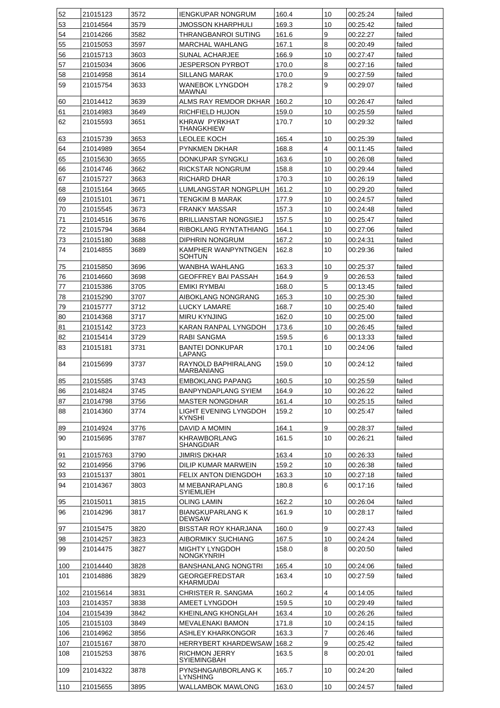| 52         | 21015123             | 3572         | <b>IENGKUPAR NONGRUM</b>                           | 160.4 | 10             | 00:25:24             | failed           |
|------------|----------------------|--------------|----------------------------------------------------|-------|----------------|----------------------|------------------|
| 53         | 21014564             | 3579         | JMOSSON KHARPHULI                                  | 169.3 | 10             | 00:25:42             | failed           |
| 54         | 21014266             | 3582         | THRANGBANROI SUTING                                | 161.6 | 9              | 00:22:27             | failed           |
| 55         | 21015053             | 3597         | <b>MARCHAL WAHLANG</b>                             | 167.1 | 8              | 00:20:49             | failed           |
| 56         | 21015713             | 3603         | SUNAL ACHARJEE                                     | 166.9 | 10             | 00:27:47             | failed           |
| 57         | 21015034             | 3606         | JESPERSON PYRBOT                                   | 170.0 | 8              | 00:27:16             | failed           |
| 58         | 21014958             | 3614         | <b>SILLANG MARAK</b>                               | 170.0 | 9              | 00:27:59             | failed           |
| 59         | 21015754             | 3633         | WANEBOK LYNGDOH<br>MAWNAI                          | 178.2 | 9              | 00:29:07             | failed           |
| 60         | 21014412             | 3639         | ALMS RAY REMDOR DKHAR                              | 160.2 | 10             | 00:26:47             | failed           |
| 61         | 21014983             | 3649         | RICHFIELD HUJON                                    | 159.0 | 10             | 00:25:59             | failed           |
| 62         | 21015593             | 3651         | KHRAW PYRKHAT                                      | 170.7 | 10             | 00:29:32             | failed           |
|            |                      |              | <b>THANGKHIEW</b>                                  |       |                |                      |                  |
| 63         | 21015739             | 3653         | LEOLEE KOCH                                        | 165.4 | 10             | 00:25:39             | failed           |
| 64         | 21014989             | 3654         | <b>PYNKMEN DKHAR</b>                               | 168.8 | $\overline{4}$ | 00:11:45             | failed           |
| 65         | 21015630             | 3655         | DONKUPAR SYNGKLI                                   | 163.6 | 10             | 00:26:08             | failed           |
| 66         | 21014746             | 3662         | RICKSTAR NONGRUM                                   | 158.8 | 10             | 00:29:44             | failed           |
| 67         | 21015727             | 3663         | RICHARD DHAR                                       | 170.3 | 10             | 00:26:19             | failed           |
| 68         | 21015164             | 3665         | LUMLANGSTAR NONGPLUH                               | 161.2 | 10             | 00:29:20             | failed           |
| 69         | 21015101             | 3671         | TENGKIM B MARAK                                    | 177.9 | 10             | 00:24:57             | failed           |
| 70         | 21015545             | 3673         | <b>FRANKY MASSAR</b>                               | 157.3 | 10             | 00:24:48             | failed           |
| 71         | 21014516             | 3676         | <b>BRILLIANSTAR NONGSIEJ</b>                       | 157.5 | 10             | 00:25:47             | failed           |
| 72         | 21015794             | 3684         | RIBOKLANG RYNTATHIANG                              | 164.1 | 10             | 00:27:06             | failed           |
| 73         | 21015180             | 3688         | DIPHRIN NONGRUM                                    | 167.2 | 10             | 00:24:31             | failed           |
| 74         | 21014855             | 3689         | KAMPHER WANPYNTNGEN                                | 162.8 | 10             | 00:29:36             | failed           |
|            |                      |              | <b>SOHTUN</b>                                      |       |                |                      |                  |
| 75         | 21015850             | 3696         | WANBHA WAHLANG                                     | 163.3 | 10             | 00:25:37             | failed           |
| 76         | 21014660             | 3698         | GEOFFREY BAI PASSAH                                | 164.9 | 9              | 00:26:53             | failed           |
| 77         | 21015386             | 3705         | EMIKI RYMBAI                                       | 168.0 | 5              | 00:13:45             | failed           |
| 78         | 21015290             | 3707         | AIBOKLANG NONGRANG                                 | 165.3 | 10             | 00:25:30             | failed           |
| 79         | 21015777             | 3712         | LUCKY LAMARE                                       | 168.7 | 10             | 00:25:40             | failed           |
| 80         | 21014368             | 3717         | MIRU KYNJING                                       | 162.0 | 10             | 00:25:00             | failed           |
| 81         | 21015142             | 3723         | KARAN RANPAL LYNGDOH                               | 173.6 | 10             | 00:26:45             | failed           |
| 82         | 21015414             | 3729         | RABI SANGMA                                        | 159.5 | 6              | 00:13:33             | failed           |
| 83         |                      | 3731         | <b>BANTEI DONKUPAR</b>                             | 170.1 | 10             | 00:24:06             |                  |
|            | 21015181             |              | LAPANG                                             |       |                |                      | failed           |
| 84         | 21015699             | 3737         | RAYNOLD BAPHIRALANG<br><b>MARBANIANG</b>           | 159.0 | 10             | 00:24:12             | failed           |
| 85         | 21015585             | 3743         | <b>EMBOKLANG PAPANG</b>                            | 160.5 | 10             | 00:25:59             | failed           |
| 86         | 21014824             | 3745         | BANPYNDAPLANG SYIEM                                | 164.9 | 10             | 00:26:22             | failed           |
| 87         | 21014798             | 3756         | <b>MASTER NONGDHAR</b>                             | 161.4 | 10             | 00:25:15             | failed           |
| 88         | 21014360             | 3774         | LIGHT EVENING LYNGDOH<br>KYNSHI                    | 159.2 | 10             | 00:25:47             | failed           |
| 89         | 21014924             | 3776         | DAVID A MOMIN                                      | 164.1 | 9              | 00:28:37             | failed           |
| 90         | 21015695             | 3787         | <b>KHRAWBORLANG</b><br>SHANGDIAR                   | 161.5 | 10             | 00:26:21             | failed           |
| 91         | 21015763             | 3790         | <b>JIMRIS DKHAR</b>                                | 163.4 | 10             | 00:26:33             | failed           |
| 92         | 21014956             | 3796         | DILIP KUMAR MARWEIN                                | 159.2 | 10             | 00:26:38             | failed           |
| 93         | 21015137             | 3801         | FELIX ANTON DIENGDOH                               | 163.3 | 10             | 00:27:18             | failed           |
| 94         | 21014367             | 3803         | M MEBANRAPLANG<br>SYIEMLIEH                        | 180.8 | 6              | 00:17:16             | failed           |
| 95         | 21015011             | 3815         | OLING LAMIN                                        | 162.2 | 10             | 00:26:04             | failed           |
| 96         | 21014296             | 3817         | <b>BIANGKUPARLANG K</b><br><b>DEWSAW</b>           | 161.9 | 10             | 00:28:17             | failed           |
| 97         | 21015475             | 3820         | BISSTAR ROY KHARJANA                               | 160.0 | 9              | 00:27:43             | failed           |
| 98         | 21014257             | 3823         | <b>AIBORMIKY SUCHIANG</b>                          | 167.5 | 10             | 00:24:24             | failed           |
| 99         | 21014475             | 3827         | <b>MIGHTY LYNGDOH</b><br><b>NONGKYNRIH</b>         | 158.0 | 8              | 00:20:50             | failed           |
| 100        | 21014440             | 3828         | <b>BANSHANLANG NONGTRI</b>                         | 165.4 | 10             | 00:24:06             | failed           |
| 101        | 21014886             | 3829         | <b>GEORGEFREDSTAR</b><br>KHARMUDAI                 | 163.4 | 10             | 00:27:59             | failed           |
| 102        | 21015614             | 3831         | CHRISTER R. SANGMA                                 | 160.2 | $\overline{4}$ | 00:14:05             | failed           |
| 103        | 21014357             | 3838         | <b>AMEET LYNGDOH</b>                               | 159.5 | 10             | 00:29:49             | failed           |
| 104        | 21015439             | 3842         | KHEINLANG KHONGLAH                                 | 163.4 | 10             | 00:26:26             | failed           |
| 105        | 21015103             | 3849         | <b>MEVALENAKI BAMON</b>                            | 171.8 | 10             | 00:24:15             | failed           |
|            |                      |              |                                                    |       | $\overline{7}$ |                      |                  |
| 106        | 21014962             | 3856         | <b>ASHLEY KHARKONGOR</b>                           | 163.3 |                | 00:26:46             | failed           |
| 107<br>108 | 21015167<br>21015253 | 3870<br>3876 | HERRYBERT KHARDEWSAW 168.2<br><b>RICHMON JERRY</b> | 163.5 | 9<br>8         | 00:25:42<br>00:20:01 | failed<br>failed |
| 109        | 21014322             | 3878         | SYIEMINGBAH<br>PYNSHNGAIñBORLANG K                 | 165.7 | 10             | 00:24:20             | failed           |
| 110        | 21015655             | 3895         | LYNSHING<br>WALLAMBOK MAWLONG                      | 163.0 | 10             | 00:24:57             | failed           |
|            |                      |              |                                                    |       |                |                      |                  |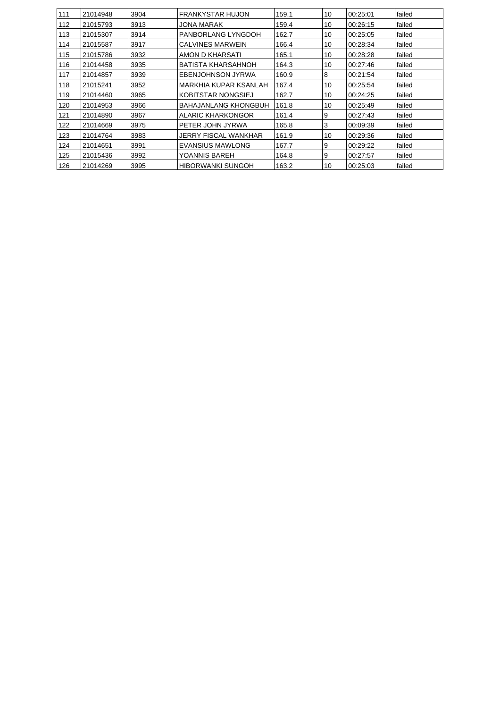| 111 | 21014948 | 3904 | <b>FRANKYSTAR HUJON</b>   | 159.1 | 10 | 00:25:01 | failed |
|-----|----------|------|---------------------------|-------|----|----------|--------|
| 112 | 21015793 | 3913 | JONA MARAK                | 159.4 | 10 | 00:26:15 | failed |
| 113 | 21015307 | 3914 | PANBORLANG LYNGDOH        | 162.7 | 10 | 00:25:05 | failed |
| 114 | 21015587 | 3917 | <b>CALVINES MARWEIN</b>   | 166.4 | 10 | 00:28:34 | failed |
| 115 | 21015786 | 3932 | AMON D KHARSATI           | 165.1 | 10 | 00:28:28 | failed |
| 116 | 21014458 | 3935 | <b>BATISTA KHARSAHNOH</b> | 164.3 | 10 | 00:27:46 | failed |
| 117 | 21014857 | 3939 | <b>EBENJOHNSON JYRWA</b>  | 160.9 | 8  | 00:21:54 | failed |
| 118 | 21015241 | 3952 | MARKHIA KUPAR KSANLAH     | 167.4 | 10 | 00:25:54 | failed |
| 119 | 21014460 | 3965 | KOBITSTAR NONGSIEJ        | 162.7 | 10 | 00:24:25 | failed |
| 120 | 21014953 | 3966 | BAHAJANLANG KHONGBUH      | 161.8 | 10 | 00:25:49 | failed |
| 121 | 21014890 | 3967 | ALARIC KHARKONGOR         | 161.4 | 9  | 00:27:43 | failed |
| 122 | 21014669 | 3975 | PETER JOHN JYRWA          | 165.8 | 3  | 00:09:39 | failed |
| 123 | 21014764 | 3983 | JERRY FISCAL WANKHAR      | 161.9 | 10 | 00:29:36 | failed |
| 124 | 21014651 | 3991 | <b>EVANSIUS MAWLONG</b>   | 167.7 | 9  | 00:29:22 | failed |
| 125 | 21015436 | 3992 | YOANNIS BAREH             | 164.8 | 9  | 00:27:57 | failed |
| 126 | 21014269 | 3995 | HIBORWANKI SUNGOH         | 163.2 | 10 | 00:25:03 | failed |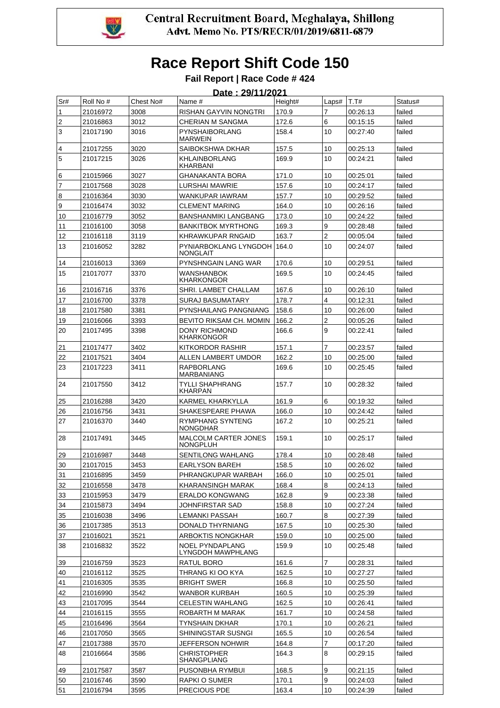

|                         | Date: 29/11/2021 |           |                                                |         |                |          |         |  |  |  |
|-------------------------|------------------|-----------|------------------------------------------------|---------|----------------|----------|---------|--|--|--|
| Sr#                     | Roll No #        | Chest No# | Name #                                         | Height# | Laps#          | T.T#     | Status# |  |  |  |
| 1                       | 21016972         | 3008      | RISHAN GAYVIN NONGTRI                          | 170.9   | 7              | 00:26:13 | failed  |  |  |  |
| $\overline{\mathbf{c}}$ | 21016863         | 3012      | CHERIAN M SANGMA                               | 172.6   | 6              | 00:15:15 | failed  |  |  |  |
| 3                       | 21017190         | 3016      | <b>PYNSHAIBORLANG</b><br><b>MARWEIN</b>        | 158.4   | 10             | 00:27:40 | failed  |  |  |  |
| $\overline{\mathbf{4}}$ | 21017255         | 3020      | SAIBOKSHWA DKHAR                               | 157.5   | 10             | 00:25:13 | failed  |  |  |  |
| 5                       | 21017215         | 3026      | <b>KHLAINBORLANG</b><br>KHARBANI               | 169.9   | 10             | 00:24:21 | failed  |  |  |  |
| 6                       | 21015966         | 3027      | GHANAKANTA BORA                                | 171.0   | 10             | 00:25:01 | failed  |  |  |  |
| $\overline{7}$          | 21017568         | 3028      | LURSHAI MAWRIE                                 | 157.6   | 10             | 00:24:17 | failed  |  |  |  |
| 8                       | 21016364         | 3030      | WANKUPAR IAWRAM                                | 157.7   | 10             | 00:29:52 | failed  |  |  |  |
| 9                       | 21016474         | 3032      | <b>CLEMENT MARING</b>                          | 164.0   | 10             | 00:26:16 | failed  |  |  |  |
| 10                      | 21016779         | 3052      | <b>BANSHANMIKI LANGBANG</b>                    | 173.0   | 10             | 00:24:22 | failed  |  |  |  |
| 11                      | 21016100         | 3058      | <b>BANKITBOK MYRTHONG</b>                      | 169.3   | 9              | 00:28:48 | failed  |  |  |  |
| 12                      | 21016118         | 3119      | KHRAWKUPAR RNGAID                              | 163.7   | $\overline{2}$ | 00:05:04 | failed  |  |  |  |
| 13                      | 21016052         | 3282      | PYNIARBOKLANG LYNGDOH<br><b>NONGLAIT</b>       | 164.0   | 10             | 00:24:07 | failed  |  |  |  |
| 14                      | 21016013         | 3369      | PYNSHNGAIN LANG WAR                            | 170.6   | 10             | 00:29:51 | failed  |  |  |  |
| 15                      | 21017077         | 3370      | <b>WANSHANBOK</b><br><b>KHARKONGOR</b>         | 169.5   | 10             | 00:24:45 | failed  |  |  |  |
| 16                      | 21016716         | 3376      | SHRI. LAMBET CHALLAM                           | 167.6   | 10             | 00:26:10 | failed  |  |  |  |
| 17                      | 21016700         | 3378      | <b>SURAJ BASUMATARY</b>                        | 178.7   | 4              | 00:12:31 | failed  |  |  |  |
| 18                      | 21017580         | 3381      | PYNSHAILANG PANGNIANG                          | 158.6   | 10             | 00:26:00 | failed  |  |  |  |
| 19                      | 21016066         | 3393      | BEVITO RIKSAM CH. MOMIN                        | 166.2   | $\overline{2}$ | 00:05:26 | failed  |  |  |  |
| 20                      | 21017495         | 3398      | <b>DONY RICHMOND</b><br><b>KHARKONGOR</b>      | 166.6   | 9              | 00:22:41 | failed  |  |  |  |
| 21                      | 21017477         | 3402      | KITKORDOR RASHIR                               | 157.1   | $\overline{7}$ | 00:23:57 | failed  |  |  |  |
| 22                      | 21017521         | 3404      | ALLEN LAMBERT UMDOR                            | 162.2   | 10             | 00:25:00 | failed  |  |  |  |
| 23                      | 21017223         | 3411      | <b>RAPBORLANG</b><br><b>MARBANIANG</b>         | 169.6   | 10             | 00:25:45 | failed  |  |  |  |
| 24                      | 21017550         | 3412      | TYLLI SHAPHRANG<br>KHARPAN                     | 157.7   | 10             | 00:28:32 | failed  |  |  |  |
| 25                      | 21016288         | 3420      | KARMEL KHARKYLLA                               | 161.9   | 6              | 00:19:32 | failed  |  |  |  |
| 26                      | 21016756         | 3431      | SHAKESPEARE PHAWA                              | 166.0   | 10             | 00:24:42 | failed  |  |  |  |
| 27                      | 21016370         | 3440      | <b>RYMPHANG SYNTENG</b><br><b>NONGDHAR</b>     | 167.2   | 10             | 00:25:21 | failed  |  |  |  |
| 28                      | 21017491         | 3445      | <b>MALCOLM CARTER JONES</b><br><b>NONGPLUH</b> | 159.1   | 10             | 00:25:17 | failed  |  |  |  |
| 29                      | 21016987         | 3448      | SENTILONG WAHLANG                              | 178.4   | 10             | 00:28:48 | failed  |  |  |  |
| $30\,$                  | 21017015         | 3453      | EARLYSON BAREH                                 | 158.5   | $10$           | 00:26:02 | failed  |  |  |  |
| 31                      | 21016895         | 3459      | PHRANGKUPAR WARBAH                             | 166.0   | 10             | 00:25:01 | failed  |  |  |  |
| 32                      | 21016558         | 3478      | KHARANSINGH MARAK                              | 168.4   | 8              | 00:24:13 | failed  |  |  |  |
| 33                      | 21015953         | 3479      | <b>ERALDO KONGWANG</b>                         | 162.8   | 9              | 00:23:38 | failed  |  |  |  |
| 34                      | 21015873         | 3494      | JOHNFIRSTAR SAD                                | 158.8   | 10             | 00:27:24 | failed  |  |  |  |
| 35                      | 21016038         | 3496      | <b>LEMANKI PASSAH</b>                          | 160.7   | 8              | 00:27:39 | failed  |  |  |  |
| 36                      | 21017385         | 3513      | DONALD THYRNIANG                               | 167.5   | 10             | 00:25:30 | failed  |  |  |  |
| 37                      | 21016021         | 3521      | ARBOKTIS NONGKHAR                              | 159.0   | 10             | 00:25:00 | failed  |  |  |  |
| 38                      | 21016832         | 3522      | <b>NOEL PYNDAPLANG</b><br>LYNGDOH MAWPHLANG    | 159.9   | 10             | 00:25:48 | failed  |  |  |  |
| 39                      | 21016759         | 3523      | RATUL BORO                                     | 161.6   | 7              | 00:28:31 | failed  |  |  |  |
| 40                      | 21016112         | 3525      | THRANG KI OO KYA                               | 162.5   | 10             | 00:27:27 | failed  |  |  |  |
| 41                      | 21016305         | 3535      | <b>BRIGHT SWER</b>                             | 166.8   | 10             | 00:25:50 | failed  |  |  |  |
| 42                      | 21016990         | 3542      | WANBOR KURBAH                                  | 160.5   | 10             | 00:25:39 | failed  |  |  |  |
| 43                      | 21017095         | 3544      | CELESTIN WAHLANG                               | 162.5   | 10             | 00:26:41 | failed  |  |  |  |
| 44                      | 21016115         | 3555      | ROBARTH M MARAK                                | 161.7   | 10             | 00:24:58 | failed  |  |  |  |
| 45                      | 21016496         | 3564      | TYNSHAIN DKHAR                                 | 170.1   | 10             | 00:26:21 | failed  |  |  |  |
| 46                      | 21017050         | 3565      | SHININGSTAR SUSNGI                             | 165.5   | 10             | 00:26:54 | failed  |  |  |  |
| 47                      | 21017388         | 3570      | JEFFERSON NOHWIR                               | 164.8   | 7              | 00:17:20 | failed  |  |  |  |
| 48                      | 21016664         | 3586      | CHRISTOPHER<br>SHANGPLIANG                     | 164.3   | 8              | 00:29:15 | failed  |  |  |  |
| 49                      | 21017587         | 3587      | PUSONBHA RYMBUI                                | 168.5   | 9              | 00:21:15 | failed  |  |  |  |
| 50                      | 21016746         | 3590      | RAPKI O SUMER                                  | 170.1   | 9              | 00:24:03 | failed  |  |  |  |
| 51                      | 21016794         | 3595      | PRECIOUS PDE                                   | 163.4   | 10             | 00:24:39 | failed  |  |  |  |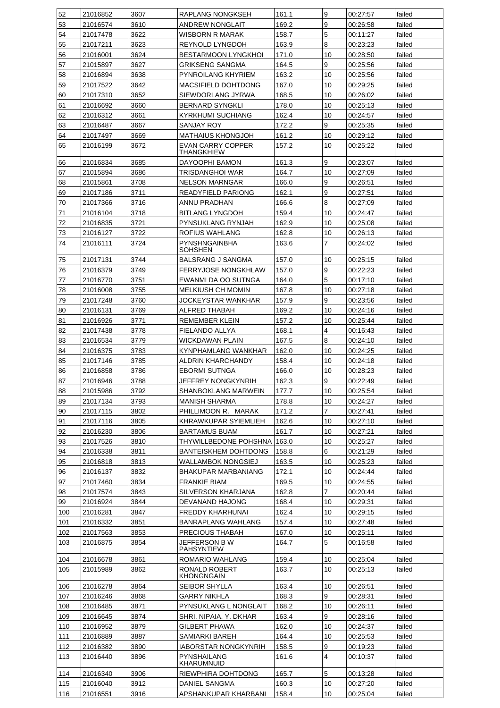| 52  | 21016852 | 3607 | RAPLANG NONGKSEH                       | 161.1 | 9              | 00:27:57 | failed |
|-----|----------|------|----------------------------------------|-------|----------------|----------|--------|
| 53  | 21016574 | 3610 | <b>ANDREW NONGLAIT</b>                 | 169.2 | 9              | 00:26.58 | failed |
| 54  | 21017478 | 3622 | WISBORN R MARAK                        | 158.7 | 5              | 00:11:27 | failed |
| 55  | 21017211 | 3623 | REYNOLD LYNGDOH                        | 163.9 | 8              | 00:23:23 | failed |
| 56  | 21016001 | 3624 | BESTARMOON LYNGKHOI                    | 171.0 | 10             | 00:28:50 | failed |
| 57  | 21015897 | 3627 | <b>GRIKSENG SANGMA</b>                 | 164.5 | 9              | 00:25:56 | failed |
| 58  | 21016894 | 3638 | PYNROILANG KHYRIEM                     | 163.2 | 10             | 00:25:56 | failed |
| 59  | 21017522 | 3642 | <b>MACSIFIELD DOHTDONG</b>             | 167.0 | 10             | 00:29:25 | failed |
| 60  | 21017310 | 3652 | SIEWDORLANG JYRWA                      | 168.5 | 10             | 00:26:02 | failed |
| 61  | 21016692 | 3660 | <b>BERNARD SYNGKLI</b>                 | 178.0 | 10             | 00:25:13 | failed |
|     | 21016312 |      | <b>KYRKHUMI SUCHIANG</b>               |       |                |          |        |
| 62  |          | 3661 |                                        | 162.4 | 10             | 00:24:57 | failed |
| 63  | 21016487 | 3667 | SANJAY ROY                             | 172.2 | 9              | 00:25:35 | failed |
| 64  | 21017497 | 3669 | MATHAIUS KHONGJOH                      | 161.2 | 10             | 00:29:12 | failed |
| 65  | 21016199 | 3672 | EVAN CARRY COPPER<br>THANGKHIEW        | 157.2 | 10             | 00:25:22 | failed |
| 66  | 21016834 | 3685 | DAYOOPHI BAMON                         | 161.3 | 9              | 00:23:07 | failed |
| 67  | 21015894 | 3686 | TRISDANGHOI WAR                        | 164.7 | 10             | 00:27:09 | failed |
| 68  | 21015861 | 3708 | <b>NELSON MARNGAR</b>                  | 166.0 | 9              | 00:26:51 | failed |
| 69  | 21017186 | 3711 | READYFIELD PARIONG                     | 162.1 | 9              | 00:27:51 | failed |
|     |          |      |                                        |       |                |          |        |
| 70  | 21017366 | 3716 | ANNU PRADHAN                           | 166.6 | 8              | 00:27:09 | failed |
| 71  | 21016104 | 3718 | <b>BITLANG LYNGDOH</b>                 | 159.4 | 10             | 00:24:47 | failed |
| 72  | 21016835 | 3721 | PYNSUKLANG RYNJAH                      | 162.9 | 10             | 00:25:08 | failed |
| 73  | 21016127 | 3722 | ROFIUS WAHLANG                         | 162.8 | 10             | 00:26:13 | failed |
| 74  | 21016111 | 3724 | <b>PYNSHNGAINBHA</b><br><b>SOHSHEN</b> | 163.6 | $\overline{7}$ | 00:24:02 | failed |
| 75  | 21017131 | 3744 | BALSRANG J SANGMA                      | 157.0 | 10             | 00:25:15 | failed |
| 76  | 21016379 | 3749 | <b>FERRYJOSE NONGKHLAW</b>             | 157.0 | 9              | 00:22:23 | failed |
| 77  | 21016770 | 3751 | EWANMI DA OO SUTNGA                    | 164.0 | 5              | 00:17:10 | failed |
| 78  | 21016008 | 3755 | MELKIUSH CH MOMIN                      | 167.8 | 10             | 00:27:18 | failed |
| 79  | 21017248 | 3760 | JOCKEYSTAR WANKHAR                     | 157.9 | 9              | 00:23:56 | failed |
|     | 21016131 |      |                                        |       | 10             |          |        |
| 80  |          | 3769 | ALFRED THABAH                          | 169.2 |                | 00:24:16 | failed |
| 81  | 21016926 | 3771 | REMEMBER KLEIN                         | 157.2 | 10             | 00:25:44 | failed |
| 82  | 21017438 | 3778 | FIELANDO ALLYA                         | 168.1 | 4              | 00:16:43 | failed |
| 83  | 21016534 | 3779 | WICKDAWAN PLAIN                        | 167.5 | 8              | 00:24:10 | failed |
| 84  | 21016375 | 3783 | KYNPHAMLANG WANKHAR                    | 162.0 | 10             | 00:24:25 | failed |
| 85  | 21017146 | 3785 | ALDRIN KHARCHANDY                      | 158.4 | 10             | 00:24:18 | failed |
| 86  | 21016858 | 3786 | <b>EBORMI SUTNGA</b>                   | 166.0 | 10             | 00:28:23 | failed |
| 87  | 21016946 | 3788 | JEFFREY NONGKYNRIH                     | 162.3 | 9              | 00:22:49 | failed |
| 88  | 21015986 | 3792 | <b>SHANBOKLANG MARWEIN</b>             | 177.7 | 10             | 00:25:54 | failed |
| 89  | 21017134 | 3793 | MANISH SHARMA                          | 178.8 | 10             | 00:24:27 | failed |
| 90  | 21017115 | 3802 | PHILLIMOON R. MARAK                    | 171.2 | 7              | 00:27:41 | failed |
| 91  | 21017116 | 3805 | KHRAWKUPAR SYIEMLIEH                   | 162.6 | 10             | 00:27:10 | failed |
| 92  | 21016230 | 3806 | <b>BARTAMUS BUAM</b>                   | 161.7 | 10             | 00:27:21 | failed |
| 93  | 21017526 | 3810 | THYWILLBEDONE POHSHNA                  | 163.0 | 10             | 00:25:27 | failed |
| 94  | 21016338 | 3811 | <b>BANTEISKHEM DOHTDONG</b>            | 158.8 | 6              | 00:21:29 | failed |
| 95  | 21016818 | 3813 | WALLAMBOK NONGSIEJ                     | 163.5 | 10             | 00:25:23 | failed |
| 96  | 21016137 | 3832 | <b>BHAKUPAR MARBANIANG</b>             | 172.1 | 10             | 00:24:44 | failed |
| 97  | 21017460 | 3834 | <b>FRANKIE BIAM</b>                    | 169.5 | 10             | 00:24:55 | failed |
| 98  | 21017574 | 3843 | <b>SILVERSON KHARJANA</b>              | 162.8 | 7              | 00:20:44 | failed |
| 99  | 21016924 | 3844 | DEVANAND HAJONG                        | 168.4 | 10             | 00:29:31 | failed |
| 100 | 21016281 | 3847 | FREDDY KHARHUNAI                       | 162.4 | 10             | 00:29:15 | failed |
| 101 |          | 3851 | <b>BANRAPLANG WAHLANG</b>              |       | 10             | 00:27:48 | failed |
|     | 21016332 |      |                                        | 157.4 |                |          |        |
| 102 | 21017563 | 3853 | PRECIOUS THABAH                        | 167.0 | 10             | 00:25:11 | failed |
| 103 | 21016875 | 3854 | JEFFERSON B W<br>PAHSYNTIEW            | 164.7 | 5              | 00:16:58 | failed |
| 104 | 21016678 | 3861 | ROMARIO WAHLANG                        | 159.4 | 10             | 00:25:04 | failed |
| 105 | 21015989 | 3862 | RONALD ROBERT                          | 163.7 | 10             | 00:25:13 | failed |
| 106 | 21016278 | 3864 | <b>KHONGNGAIN</b><br>SEIBOR SHYLLA     | 163.4 | 10             | 00:26:51 | failed |
| 107 | 21016246 | 3868 | GARRY NIKHLA                           | 168.3 | 9              | 00:28:31 | failed |
| 108 | 21016485 | 3871 | PYNSUKLANG L NONGLAIT                  | 168.2 | 10             | 00:26:11 | failed |
|     |          |      |                                        |       |                |          |        |
| 109 | 21016645 | 3874 | SHRI. NIPAIA. Y. DKHAR                 | 163.4 | 9              | 00:28:16 | failed |
| 110 | 21016952 | 3879 | <b>GILBERT PHAWA</b>                   | 162.0 | 10             | 00:24:37 | failed |
| 111 | 21016889 | 3887 | SAMIARKI BAREH                         | 164.4 | 10             | 00:25:53 | failed |
| 112 | 21016382 | 3890 | IABORSTAR NONGKYNRIH                   | 158.5 | 9              | 00:19:23 | failed |
| 113 | 21016440 | 3896 | PYNSHAILANG<br>KHARUMNUID              | 161.6 | 4              | 00:10:37 | failed |
| 114 | 21016340 | 3906 | RIEWPHIRA DOHTDONG                     | 165.7 | 5              | 00:13:28 | failed |
| 115 | 21016040 | 3912 | DANIEL SANGMA                          | 160.3 | 10             | 00:27:20 | failed |
|     |          |      |                                        |       |                |          |        |
| 116 | 21016551 | 3916 | APSHANKUPAR KHARBANI                   | 158.4 | 10             | 00:25:04 | failed |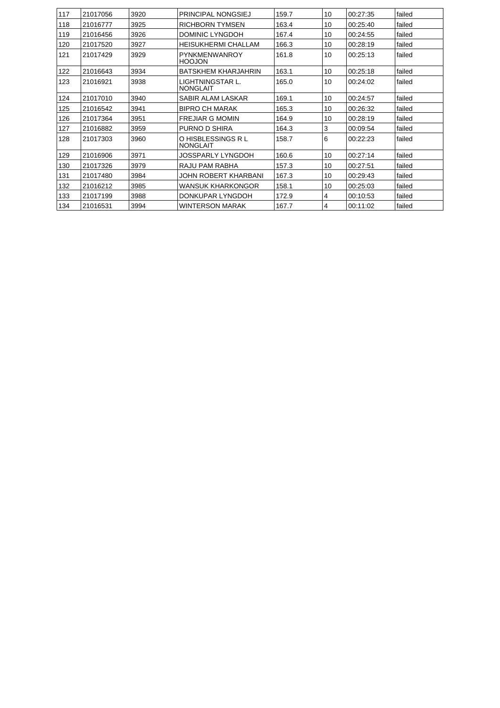| 117 | 21017056 | 3920 | <b>PRINCIPAL NONGSIEJ</b>             | 159.7 | 10 | 00:27:35 | failed |
|-----|----------|------|---------------------------------------|-------|----|----------|--------|
| 118 | 21016777 | 3925 | <b>RICHBORN TYMSEN</b>                | 163.4 | 10 | 00:25:40 | failed |
| 119 | 21016456 | 3926 | DOMINIC LYNGDOH                       | 167.4 | 10 | 00:24:55 | failed |
| 120 | 21017520 | 3927 | <b>HEISUKHERMI CHALLAM</b>            | 166.3 | 10 | 00:28:19 | failed |
| 121 | 21017429 | 3929 | PYNKMENWANROY<br><b>HOOJON</b>        | 161.8 | 10 | 00:25:13 | failed |
| 122 | 21016643 | 3934 | <b>BATSKHEM KHARJAHRIN</b>            | 163.1 | 10 | 00:25:18 | failed |
| 123 | 21016921 | 3938 | LIGHTNINGSTAR L.<br><b>NONGLAIT</b>   | 165.0 | 10 | 00:24:02 | failed |
| 124 | 21017010 | 3940 | SABIR ALAM LASKAR                     | 169.1 | 10 | 00:24:57 | failed |
| 125 | 21016542 | 3941 | <b>BIPRO CH MARAK</b>                 | 165.3 | 10 | 00:26:32 | failed |
| 126 | 21017364 | 3951 | <b>FREJIAR G MOMIN</b>                | 164.9 | 10 | 00:28:19 | failed |
| 127 | 21016882 | 3959 | PURNO D SHIRA                         | 164.3 | 3  | 00:09:54 | failed |
| 128 | 21017303 | 3960 | O HISBLESSINGS R L<br><b>NONGLAIT</b> | 158.7 | 6  | 00:22:23 | failed |
| 129 | 21016906 | 3971 | JOSSPARLY LYNGDOH                     | 160.6 | 10 | 00:27:14 | failed |
| 130 | 21017326 | 3979 | RAJU PAM RABHA                        | 157.3 | 10 | 00:27:51 | failed |
| 131 | 21017480 | 3984 | JOHN ROBERT KHARBANI                  | 167.3 | 10 | 00:29:43 | failed |
| 132 | 21016212 | 3985 | <b>WANSUK KHARKONGOR</b>              | 158.1 | 10 | 00:25:03 | failed |
| 133 | 21017199 | 3988 | DONKUPAR LYNGDOH                      | 172.9 | 4  | 00:10:53 | failed |
| 134 | 21016531 | 3994 | <b>WINTERSON MARAK</b>                | 167.7 | 4  | 00:11:02 | failed |
|     |          |      |                                       |       |    |          |        |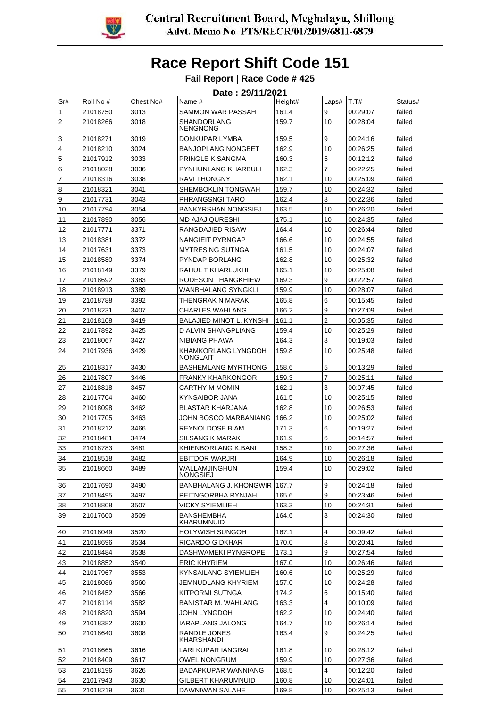

|                         |           |           | Date: 29/11/2021                 |         |       |          |         |
|-------------------------|-----------|-----------|----------------------------------|---------|-------|----------|---------|
| Sr#                     | Roll No # | Chest No# | Name #                           | Height# | Laps# | T.T#     | Status# |
| $\mathbf{1}$            | 21018750  | 3013      | SAMMON WAR PASSAH                | 161.4   | 9     | 00:29:07 | failed  |
| $\overline{2}$          | 21018266  | 3018      | SHANDORLANG<br>NENGNONG          | 159.7   | 10    | 00:28:04 | failed  |
| 3                       | 21018271  | 3019      | DONKUPAR LYMBA                   | 159.5   | 9     | 00:24:16 | failed  |
| $\overline{\mathbf{4}}$ | 21018210  | 3024      | <b>BANJOPLANG NONGBET</b>        | 162.9   | 10    | 00:26:25 | failed  |
| 5                       | 21017912  | 3033      | PRINGLE K SANGMA                 | 160.3   | 5     | 00:12:12 | failed  |
| 6                       | 21018028  | 3036      | PYNHUNLANG KHARBULI              | 162.3   | 7     | 00:22:25 | failed  |
| $\overline{7}$          | 21018316  | 3038      | <b>RAVI THONGNY</b>              | 162.1   | 10    | 00:25:09 | failed  |
| 8                       | 21018321  | 3041      | SHEMBOKLIN TONGWAH               | 159.7   | 10    | 00:24:32 | failed  |
| 9                       | 21017731  | 3043      | PHRANGSNGI TARO                  | 162.4   | 8     | 00:22:36 | failed  |
| 10                      | 21017794  | 3054      | <b>BANKYRSHAN NONGSIEJ</b>       | 163.5   | 10    | 00:26:20 | failed  |
| 11                      | 21017890  | 3056      | <b>MD AJAJ QURESHI</b>           | 175.1   | 10    | 00:24:35 | failed  |
| 12                      | 21017771  | 3371      | RANGDAJIED RISAW                 | 164.4   | 10    | 00:26:44 | failed  |
| 13                      | 21018381  | 3372      | NANGIEIT PYRNGAP                 | 166.6   | 10    | 00:24:55 | failed  |
| 14                      | 21017631  | 3373      | <b>MYTRESING SUTNGA</b>          | 161.5   | 10    | 00:24:07 | failed  |
| 15                      | 21018580  | 3374      | PYNDAP BORLANG                   | 162.8   | 10    | 00:25:32 | failed  |
| 16                      | 21018149  | 3379      | RAHUL T KHARLUKHI                | 165.1   | 10    | 00:25:08 | failed  |
| 17                      | 21018692  | 3383      | RODESON THANGKHIEW               | 169.3   | 9     | 00:22:57 | failed  |
| 18                      | 21018913  | 3389      | WANBHALANG SYNGKLI               | 159.9   | 10    | 00:28:07 | failed  |
| 19                      | 21018788  | 3392      | THENGRAK N MARAK                 | 165.8   | 6     | 00:15:45 | failed  |
| 20                      | 21018231  | 3407      | CHARLES WAHLANG                  | 166.2   | 9     | 00:27:09 | failed  |
| 21                      | 21018108  | 3419      | <b>BALAJIED MINOT L. KYNSHI</b>  | 161.1   | 2     | 00:05:35 | failed  |
| 22                      | 21017892  | 3425      | D ALVIN SHANGPLIANG              | 159.4   | 10    | 00:25:29 | failed  |
| 23                      | 21018067  | 3427      | NIBIANG PHAWA                    | 164.3   | 8     | 00:19:03 | failed  |
| 24                      | 21017936  | 3429      | KHAMKORLANG LYNGDOH<br>NONGLAIT  | 159.8   | 10    | 00:25:48 | failed  |
| 25                      | 21018317  | 3430      | <b>BASHEMLANG MYRTHONG</b>       | 158.6   | 5     | 00:13:29 | failed  |
| 26                      | 21017807  | 3446      | FRANKY KHARKONGOR                | 159.3   | 7     | 00:25:11 | failed  |
| 27                      | 21018818  | 3457      | CARTHY M MOMIN                   | 162.1   | 3     | 00:07:45 | failed  |
| 28                      | 21017704  | 3460      | KYNSAIBOR JANA                   | 161.5   | 10    | 00:25:15 | failed  |
| 29                      | 21018098  | 3462      | BLASTAR KHARJANA                 | 162.8   | 10    | 00:26:53 | failed  |
| 30                      | 21017705  | 3463      | JOHN BOSCO MARBANIANG            | 166.2   | 10    | 00:25:02 | failed  |
| 31                      | 21018212  | 3466      | <b>REYNOLDOSE BIAM</b>           | 171.3   | 6     | 00:19:27 | failed  |
| 32                      | 21018481  | 3474      | SILSANG K MARAK                  | 161.9   | 6     | 00:14:57 | failed  |
| 33                      | 21018783  | 3481      | KHIENBORLANG K.BANI              | 158.3   | 10    | 00:27:36 | failed  |
| 34                      | 21018518  | 3482      | EBITDOR WARJRI                   | 164.9   | 10    | 00:26:18 | failed  |
| 35                      | 21018660  | 3489      | WALLAMJINGHUN<br><b>NONGSIEJ</b> | 159.4   | 10    | 00:29:02 | failed  |
| 36                      | 21017690  | 3490      | BANBHALANG J. KHONGWIR           | 167.7   | 9     | 00:24:18 | failed  |
| 37                      | 21018495  | 3497      | PEITNGORBHA RYNJAH               | 165.6   | 9     | 00:23:46 | failed  |
| 38                      | 21018808  | 3507      | VICKY SYIEMLIEH                  | 163.3   | 10    | 00:24:31 | failed  |
| 39                      | 21017600  | 3509      | <b>BANSHEMBHA</b><br>KHARUMNUID  | 164.6   | 8     | 00:24:30 | failed  |
| 40                      | 21018049  | 3520      | <b>HOLYWISH SUNGOH</b>           | 167.1   | 4     | 00:09:42 | failed  |
| 41                      | 21018696  | 3534      | RICARDO G DKHAR                  | 170.0   | 8     | 00:20:41 | failed  |
| 42                      | 21018484  | 3538      | DASHWAMEKI PYNGROPE              | 173.1   | 9     | 00:27:54 | failed  |
| 43                      | 21018852  | 3540      | <b>ERIC KHYRIEM</b>              | 167.0   | 10    | 00:26:46 | failed  |
| 44                      | 21017967  | 3553      | KYNSAILANG SYIEMLIEH             | 160.6   | 10    | 00:25:29 | failed  |
| 45                      | 21018086  | 3560      | JEMNUDLANG KHYRIEM               | 157.0   | 10    | 00:24:28 | failed  |
| 46                      | 21018452  | 3566      | <b>KITPORMI SUTNGA</b>           | 174.2   | 6     | 00:15:40 | failed  |
| 47                      | 21018114  | 3582      | <b>BANISTAR M. WAHLANG</b>       | 163.3   | 4     | 00:10:09 | failed  |
| 48                      | 21018820  | 3594      | JOHN LYNGDOH                     | 162.2   | 10    | 00:24:40 | failed  |
| 49                      | 21018382  | 3600      | IARAPLANG JALONG                 | 164.7   | 10    | 00:26:14 | failed  |
| 50                      | 21018640  | 3608      | RANDLE JONES<br>KHARSHANDI       | 163.4   | 9     | 00:24:25 | failed  |
| 51                      | 21018665  | 3616      | LARI KUPAR IANGRAI               | 161.8   | 10    | 00:28:12 | failed  |
| 52                      | 21018409  | 3617      | OWEL NONGRUM                     | 159.9   | 10    | 00:27:36 | failed  |
| 53                      | 21018196  | 3626      | <b>BADAPKUPAR WANNIANG</b>       | 168.5   | 4     | 00:12:20 | failed  |
| 54                      | 21017943  | 3630      | GILBERT KHARUMNUID               | 160.8   | 10    | 00:24:01 | failed  |
| 55                      | 21018219  | 3631      | DAWNIWAN SALAHE                  | 169.8   | 10    | 00:25:13 | failed  |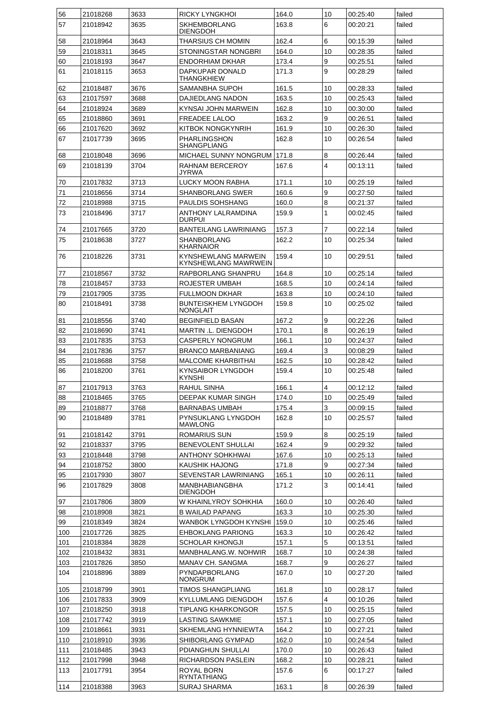| 56  | 21018268 | 3633 | RICKY LYNGKHOI                                | 164.0 | 10             | 00:25:40 | failed |
|-----|----------|------|-----------------------------------------------|-------|----------------|----------|--------|
| 57  | 21018942 | 3635 | <b>SKHEMBORLANG</b><br><b>DIENGDOH</b>        | 163.8 | 6              | 00:20:21 | failed |
| 58  | 21018964 | 3643 | THARSIUS CH MOMIN                             | 162.4 | 6              | 00:15:39 | failed |
| 59  | 21018311 | 3645 | STONINGSTAR NONGBRI                           | 164.0 | 10             | 00:28:35 | failed |
| 60  | 21018193 | 3647 | <b>ENDORHIAM DKHAR</b>                        | 173.4 | 9              | 00:25:51 | failed |
| 61  | 21018115 | 3653 | DAPKUPAR DONALD<br><b>THANGKHIEW</b>          | 171.3 | 9              | 00:28:29 | failed |
| 62  | 21018487 | 3676 | SAMANBHA SUPOH                                | 161.5 | 10             | 00:28:33 | failed |
| 63  | 21017597 | 3688 | <b>DAJIEDLANG NADON</b>                       | 163.5 | 10             | 00:25:43 | failed |
| 64  | 21018924 | 3689 | KYNSAI JOHN MARWEIN                           | 162.8 | 10             | 00:30:00 | failed |
| 65  | 21018860 | 3691 | <b>FREADEE LALOO</b>                          | 163.2 | 9              | 00:26:51 | failed |
| 66  | 21017620 | 3692 | KITBOK NONGKYNRIH                             | 161.9 | 10             | 00:26:30 | failed |
| 67  | 21017739 | 3695 | <b>PHARLINGSHON</b><br><b>SHANGPLIANG</b>     | 162.8 | 10             | 00:26:54 | failed |
| 68  | 21018048 | 3696 | <b>MICHAEL SUNNY NONGRUM</b>                  | 171.8 | 8              | 00:26:44 | failed |
| 69  | 21018139 | 3704 | RAHNAM BERCEROY<br>JYRWA                      | 167.6 | $\overline{4}$ | 00:13:11 | failed |
| 70  | 21017832 | 3713 | LUCKY MOON RABHA                              | 171.1 | 10             | 00:25:19 | failed |
| 71  | 21018656 | 3714 | <b>SHANBORLANG SWER</b>                       | 160.6 | 9              | 00:27:50 | failed |
| 72  | 21018988 | 3715 | PAULDIS SOHSHANG                              | 160.0 | 8              | 00:21:37 | failed |
| 73  | 21018496 | 3717 | ANTHONY LALRAMDINA<br><b>DURPUI</b>           | 159.9 | 1              | 00:02:45 | failed |
| 74  | 21017665 | 3720 | <b>BANTEILANG LAWRINIANG</b>                  | 157.3 | $\overline{7}$ | 00:22:14 | failed |
| 75  | 21018638 | 3727 | <b>SHANBORLANG</b><br><b>KHARNAIOR</b>        | 162.2 | 10             | 00:25:34 | failed |
| 76  | 21018226 | 3731 | KYNSHEWLANG MARWEIN<br>KYNSHEWLANG MAWRWEIN   | 159.4 | 10             | 00:29:51 | failed |
| 77  | 21018567 | 3732 | RAPBORLANG SHANPRU                            | 164.8 | 10             | 00:25:14 | failed |
| 78  | 21018457 | 3733 | ROJESTER UMBAH                                | 168.5 | 10             | 00:24:14 | failed |
| 79  | 21017905 | 3735 | <b>FULLMOON DKHAR</b>                         | 163.8 | 10             | 00:24:10 | failed |
| 80  | 21018491 | 3738 | <b>BUNTEISKHEM LYNGDOH</b><br><b>NONGLAIT</b> | 159.8 | 10             | 00:25:02 | failed |
| 81  | 21018556 | 3740 | <b>BEGINFIELD BASAN</b>                       | 167.2 | 9              | 00:22:26 | failed |
| 82  | 21018690 | 3741 | MARTIN .L. DIENGDOH                           | 170.1 | 8              | 00:26:19 | failed |
| 83  | 21017835 | 3753 | <b>CASPERLY NONGRUM</b>                       | 166.1 | 10             | 00:24:37 | failed |
| 84  | 21017836 | 3757 | <b>BRANCO MARBANIANG</b>                      | 169.4 | 3              | 00:08:29 | failed |
| 85  | 21018688 | 3758 | <b>MALCOME KHARBITHAI</b>                     | 162.5 | 10             | 00:28:42 | failed |
| 86  | 21018200 | 3761 | <b>KYNSAIBOR LYNGDOH</b><br>KYNSHI            | 159.4 | 10             | 00:25:48 | failed |
| 87  | 21017913 | 3763 | RAHUL SINHA                                   | 166.1 | 4              | 00:12:12 | failed |
| 88  | 21018465 | 3765 | DEEPAK KUMAR SINGH                            | 174.0 | 10             | 00:25:49 | failed |
| 89  | 21018877 | 3768 | BARNABAS UMBAH                                | 175.4 | 3              | 00:09:15 | failed |
| 90  | 21018489 | 3781 | PYNSUKLANG LYNGDOH<br>MAWLONG                 | 162.8 | 10             | 00:25:57 | failed |
| 91  | 21018142 | 3791 | ROMARIUS SUN                                  | 159.9 | 8              | 00:25:19 | failed |
| 92  | 21018337 | 3795 | <b>BENEVOLENT SHULLAI</b>                     | 162.4 | 9              | 00:29:32 | failed |
| 93  | 21018448 | 3798 | ANTHONY SOHKHWAI                              | 167.6 | 10             | 00:25:13 | failed |
| 94  | 21018752 | 3800 | KAUSHIK HAJONG                                | 171.8 | 9              | 00:27:34 | failed |
| 95  | 21017930 | 3807 | SEVENSTAR LAWRINIANG                          | 165.1 | 10             | 00:26:11 | failed |
| 96  | 21017829 | 3808 | MANBHABIANGBHA<br><b>DIENGDOH</b>             | 171.2 | 3              | 00:14:41 | failed |
| 97  | 21017806 | 3809 | W KHAINLYROY SOHKHIA                          | 160.0 | 10             | 00:26:40 | failed |
| 98  | 21018908 | 3821 | <b>B WAILAD PAPANG</b>                        | 163.3 | 10             | 00:25:30 | failed |
| 99  | 21018349 | 3824 | WANBOK LYNGDOH KYNSHI                         | 159.0 | 10             | 00:25:46 | failed |
| 100 | 21017726 | 3825 | <b>EHBOKLANG PARIONG</b>                      | 163.3 | 10             | 00:26:42 | failed |
| 101 | 21018384 | 3828 | <b>SCHOLAR KHONGJI</b>                        | 157.1 | 5              | 00:13:51 | failed |
| 102 | 21018432 | 3831 | MANBHALANG.W. NOHWIR                          | 168.7 | 10             | 00:24:38 | failed |
| 103 | 21017826 | 3850 | MANAV CH. SANGMA                              | 168.7 | 9              | 00:26:27 | failed |
| 104 | 21018896 | 3889 | <b>PYNDAPBORLANG</b><br>NONGRUM               | 167.0 | 10             | 00:27:20 | failed |
| 105 | 21018799 | 3901 | TIMOS SHANGPLIANG                             | 161.8 | 10             | 00:28:17 | failed |
| 106 | 21017833 | 3909 | KYLLUMLANG DIENGDOH                           | 157.6 | 4              | 00:10:26 | failed |
| 107 | 21018250 | 3918 | TIPLANG KHARKONGOR                            | 157.5 | 10             | 00:25:15 | failed |
| 108 | 21017742 | 3919 | <b>LASTING SAWKMIE</b>                        | 157.1 | 10             | 00:27:05 | failed |
| 109 | 21018661 | 3931 | SKHEMLANG HYNNIEWTA                           | 164.2 | 10             | 00:27:21 | failed |
| 110 | 21018910 | 3936 | SHIBORLANG GYMPAD                             | 162.0 | 10             | 00:24:54 | failed |
| 111 | 21018485 | 3943 | PDIANGHUN SHULLAI                             | 170.0 | 10             | 00:26:43 | failed |
| 112 | 21017998 | 3948 | RICHARDSON PASLEIN                            | 168.2 | 10             | 00:28:21 | failed |
| 113 | 21017791 | 3954 | ROYAL BORN<br>RYNTATHIANG                     | 157.6 | 6              | 00:17:27 | failed |
| 114 | 21018388 | 3963 | SURAJ SHARMA                                  | 163.1 | 8              | 00:26:39 | failed |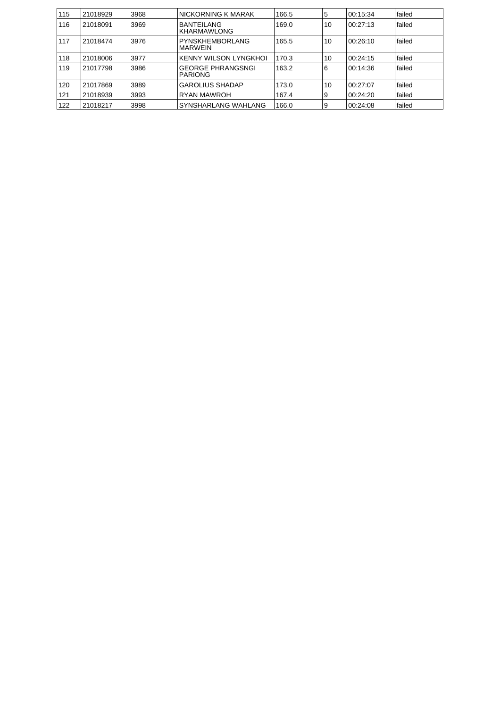| 115 | 21018929 | 3968 | NICKORNING K MARAK                         | 166.5 | 5  | 00:15:34 | failed |
|-----|----------|------|--------------------------------------------|-------|----|----------|--------|
| 116 | 21018091 | 3969 | <b>BANTEILANG</b><br>KHARMAWLONG           | 169.0 | 10 | 00:27:13 | failed |
| 117 | 21018474 | 3976 | PYNSKHEMBORLANG<br>MARWEIN                 | 165.5 | 10 | 00:26:10 | failed |
| 118 | 21018006 | 3977 | KENNY WILSON LYNGKHOL                      | 170.3 | 10 | 00:24:15 | failed |
| 119 | 21017798 | 3986 | <b>GEORGE PHRANGSNGI</b><br><b>PARIONG</b> | 163.2 | 6  | 00:14:36 | failed |
| 120 | 21017869 | 3989 | <b>GAROLIUS SHADAP</b>                     | 173.0 | 10 | 00:27:07 | failed |
| 121 | 21018939 | 3993 | <b>RYAN MAWROH</b>                         | 167.4 | 9  | 00:24:20 | failed |
| 122 | 21018217 | 3998 | SYNSHARLANG WAHLANG                        | 166.0 | 9  | 00:24:08 | failed |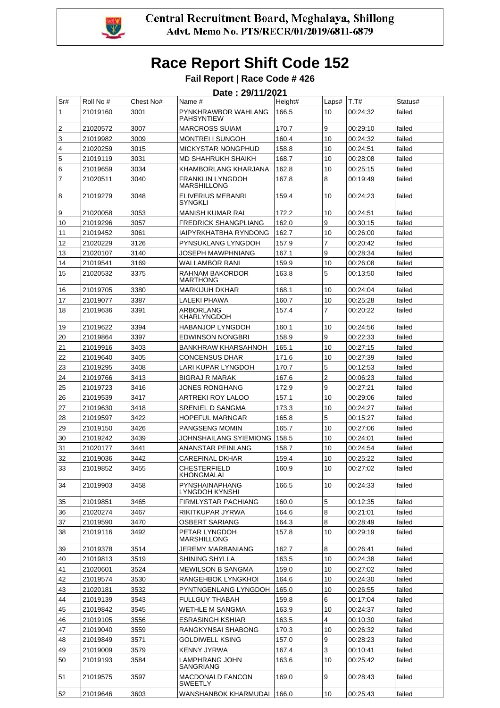

| Sr#                 | Roll No #            | Chest No#    | Date: 29/11/2021<br>Name #                                            | Height#        | Laps#          | T.T#                 | Status#          |
|---------------------|----------------------|--------------|-----------------------------------------------------------------------|----------------|----------------|----------------------|------------------|
| $\mathbf{1}$        | 21019160             | 3001         | PYNKHRAWBOR WAHLANG                                                   | 166.5          | 10             | 00:24:32             | failed           |
|                     |                      |              | <b>PAHSYNTIEW</b>                                                     |                |                |                      |                  |
| $\sqrt{2}$          | 21020572             | 3007         | <b>MARCROSS SUIAM</b>                                                 | 170.7          | 9              | 00:29:10             | failed           |
| 3                   | 21019982             | 3009         | MONTREI I SUNGOH                                                      | 160.4          | 10             | 00:24:32             | failed           |
| 4                   | 21020259             | 3015         | MICKYSTAR NONGPHUD                                                    | 158.8          | 10             | 00:24:51             | failed           |
| 5                   | 21019119             | 3031         | <b>MD SHAHRUKH SHAIKH</b>                                             | 168.7          | 10             | 00:28:08             | failed           |
| 6<br>$\overline{7}$ | 21019659<br>21020511 | 3034<br>3040 | KHAMBORLANG KHARJANA<br><b>FRANKLIN LYNGDOH</b><br><b>MARSHILLONG</b> | 162.8<br>167.8 | 10<br>8        | 00:25:15<br>00:19:49 | failed<br>failed |
| 8                   | 21019279             | 3048         | <b>ELIVERIUS MEBANRI</b><br><b>SYNGKLI</b>                            | 159.4          | 10             | 00:24:23             | failed           |
| 9                   | 21020058             | 3053         | <b>MANISH KUMAR RAI</b>                                               | 172.2          | 10             | 00:24:51             | failed           |
| 10                  | 21019296             | 3057         | <b>FREDRICK SHANGPLIANG</b>                                           | 162.0          | 9              | 00:30:15             | failed           |
| 11                  | 21019452             | 3061         | IAIPYRKHATBHA RYNDONG                                                 | 162.7          | 10             | 00:26:00             | failed           |
| 12                  | 21020229             | 3126         | PYNSUKLANG LYNGDOH                                                    | 157.9          | $\overline{7}$ | 00:20:42             | failed           |
| 13                  | 21020107             | 3140         | <b>JOSEPH MAWPHNIANG</b>                                              | 167.1          | 9              | 00:28:34             | failed           |
| 14                  | 21019541             | 3169         | <b>WALLAMBOR RANI</b>                                                 | 159.9          | 10             | 00:26:08             | failed           |
| 15                  | 21020532             | 3375         | RAHNAM BAKORDOR<br><b>MARTHONG</b>                                    | 163.8          | 5              | 00:13:50             | failed           |
| 16                  | 21019705             | 3380         | <b>MARKIJUH DKHAR</b>                                                 | 168.1          | 10             | 00:24:04             | failed           |
| 17                  | 21019077             | 3387         | LALEKI PHAWA                                                          | 160.7          | 10             | 00:25:28             | failed           |
| 18                  | 21019636             | 3391         | <b>ARBORLANG</b><br><b>KHARLYNGDOH</b>                                | 157.4          | $\overline{7}$ | 00:20:22             | failed           |
| 19                  | 21019622             | 3394         | <b>HABANJOP LYNGDOH</b>                                               | 160.1          | 10             | 00:24:56             | failed           |
| 20                  | 21019864             | 3397         | <b>EDWINSON NONGBRI</b>                                               | 158.9          | 9              | 00:22:33             | failed           |
| 21                  | 21019916             | 3403         | <b>BANKHRAW KHARSAHNOH</b>                                            | 165.1          | 10             | 00:27:15             | failed           |
| 22                  | 21019640             | 3405         | <b>CONCENSUS DHAR</b>                                                 | 171.6          | 10             | 00:27:39             | failed           |
| 23                  | 21019295             | 3408         | LARI KUPAR LYNGDOH                                                    | 170.7          | 5              | 00:12:53             | failed           |
| 24                  | 21019766             | 3413         | <b>BIGRAJ R MARAK</b>                                                 | 167.6          | $\overline{2}$ | 00:06:23             | failed           |
| 25                  | 21019723             | 3416         | JONES RONGHANG                                                        | 172.9          | 9              | 00:27:21             | failed           |
| 26                  | 21019539             | 3417         | ARTREKI ROY LALOO                                                     | 157.1          | 10             | 00:29:06             | failed           |
| 27                  | 21019630             | 3418         | <b>SRENIEL D SANGMA</b>                                               | 173.3          | 10             | 00:24:27             | failed           |
| 28                  | 21019597             | 3422         | <b>HOPEFUL MARNGAR</b>                                                | 165.8          | 5              | 00:15:27             | failed           |
| 29                  | 21019150             | 3426         | <b>PANGSENG MOMIN</b>                                                 | 165.7          | 10             | 00:27:06             | failed           |
| 30                  | 21019242             | 3439         | JOHNSHAILANG SYIEMIONG                                                | 158.5          | 10             | 00:24:01             | failed           |
| 31                  | 21020177             | 3441         | ANANSTAR PEINLANG                                                     | 158.7          | 10             | 00:24:54             | failed           |
| 32                  | 21019036             | 3442         | <b>CAREFINAL DKHAR</b>                                                | 159.4          | 10             | 00:25:22             | failed           |
| 33                  | 21019852             | 3455         | <b>CHESTERFIELD</b><br><b>KHONGMALAI</b>                              | 160.9          | 10             | 00:27:02             | failed           |
| 34                  | 21019903             | 3458         | PYNSHAINAPHANG<br>LYNGDOH KYNSHI                                      | 166.5          | 10             | 00:24:33             | failed           |
| 35                  | 21019851             | 3465         | <b>FIRMLYSTAR PACHIANG</b>                                            | 160.0          | 5              | 00:12:35             | failed           |
| 36                  | 21020274             | 3467         | RIKITKUPAR JYRWA                                                      | 164.6          | 8              | 00:21:01             | failed           |
| 37                  | 21019590             | 3470         | <b>OSBERT SARIANG</b>                                                 | 164.3          | 8              | 00:28:49             | failed           |
| 38                  | 21019116             | 3492         | PETAR LYNGDOH<br><b>MARSHILLONG</b>                                   | 157.8          | 10             | 00:29:19             | failed           |
| 39                  | 21019378             | 3514         | JEREMY MARBANIANG                                                     | 162.7          | 8              | 00:26:41             | failed           |
| 40<br>41            | 21019813<br>21020601 | 3519<br>3524 | SHINING SHYLLA<br><b>MEWILSON B SANGMA</b>                            | 163.5<br>159.0 | 10<br>10       | 00:24:38<br>00:27:02 | failed<br>failed |
| 42                  | 21019574             | 3530         | RANGEHBOK LYNGKHOI                                                    | 164.6          | 10             | 00:24:30             | failed           |
| 43                  | 21020181             | 3532         | PYNTNGENLANG LYNGDOH                                                  | 165.0          | 10             | 00:26:55             | failed           |
| 44                  | 21019139             | 3543         | <b>FULLGUY THABAH</b>                                                 | 159.8          | 6              | 00:17:04             | failed           |
| 45                  | 21019842             | 3545         | <b>WETHLE M SANGMA</b>                                                | 163.9          | 10             | 00:24:37             | failed           |
| 46                  | 21019105             | 3556         | <b>ESRASINGH KSHIAR</b>                                               | 163.5          | $\overline{4}$ | 00:10:30             | failed           |
| 47                  | 21019040             | 3559         | RANGKYNSAI SHABONG                                                    | 170.3          | 10             | 00:26:32             | failed           |
| 48                  | 21019849             | 3571         | <b>GOLDIWELL KSING</b>                                                | 157.0          | 9              | 00:28:23             | failed           |
| 49                  | 21019009             | 3579         | <b>KENNY JYRWA</b>                                                    | 167.4          | 3              | 00:10:41             | failed           |
| 50                  | 21019193             | 3584         | LAMPHRANG JOHN<br>SANGRIANG                                           | 163.6          | 10             | 00:25:42             | failed           |
| 51                  | 21019575             | 3597         | <b>MACDONALD FANCON</b><br><b>SWEETLY</b>                             | 169.0          | 9              | 00:28:43             | failed           |
| 52                  | 21019646             | 3603         | WANSHANBOK KHARMUDAI                                                  | 166.0          | 10             | 00:25:43             | failed           |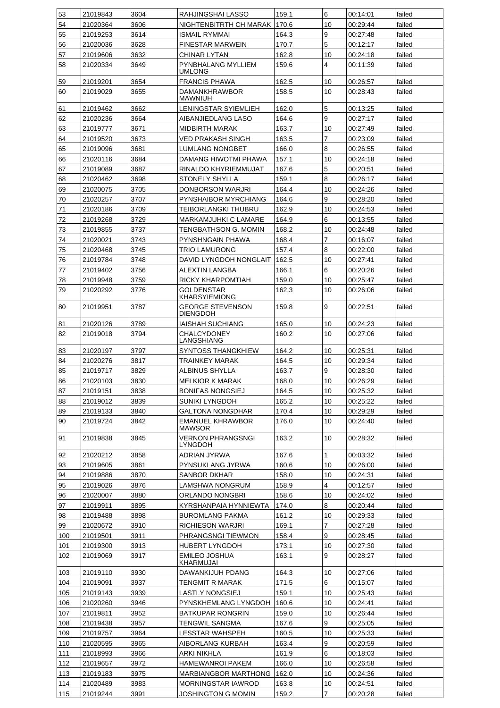| 53  | 21019843 | 3604 | RAHJINGSHAI LASSO                          | 159.1 | 6              | 00:14:01 | failed |
|-----|----------|------|--------------------------------------------|-------|----------------|----------|--------|
| 54  | 21020364 | 3606 | NIGHTENBITRTH CH MARAK                     | 170.6 | 10             | 00:29:44 | failed |
| 55  | 21019253 | 3614 | <b>ISMAIL RYMMAI</b>                       | 164.3 | 9              | 00:27:48 | failed |
| 56  | 21020036 | 3628 | <b>FINESTAR MARWEIN</b>                    | 170.7 | 5              | 00:12:17 | failed |
| 57  | 21019606 | 3632 | <b>CHINAR LYTAN</b>                        | 162.8 | 10             | 00:24:18 | failed |
| 58  | 21020334 | 3649 | PYNBHALANG MYLLIEM<br><b>UMLONG</b>        | 159.6 | $\overline{4}$ | 00:11:39 | failed |
| 59  | 21019201 | 3654 | <b>FRANCIS PHAWA</b>                       | 162.5 | 10             | 00:26:57 | failed |
| 60  | 21019029 | 3655 | DAMANKHRAWBOR                              | 158.5 | 10             | 00:28:43 | failed |
|     |          |      | MAWNIUH                                    |       |                |          |        |
| 61  | 21019462 | 3662 | LENINGSTAR SYIEMLIEH                       | 162.0 | 5              | 00:13:25 | failed |
| 62  | 21020236 | 3664 | AIBANJIEDLANG LASO                         | 164.6 | 9              | 00:27:17 | failed |
| 63  | 21019777 | 3671 | <b>MIDBIRTH MARAK</b>                      | 163.7 | 10             | 00:27:49 | failed |
| 64  | 21019520 | 3673 | <b>VED PRAKASH SINGH</b>                   | 163.5 | 7              | 00:23:09 | failed |
| 65  | 21019096 | 3681 | LUMLANG NONGBET                            | 166.0 | 8              | 00:26:55 | failed |
| 66  | 21020116 | 3684 | DAMANG HIWOTMI PHAWA                       | 157.1 | 10             | 00:24:18 | failed |
| 67  | 21019089 | 3687 | RINALDO KHYRIEMMUJAT                       | 167.6 | 5              | 00:20:51 | failed |
| 68  | 21020462 | 3698 | STONELY SHYLLA                             | 159.1 | 8              | 00:26:17 | failed |
| 69  | 21020075 | 3705 | DONBORSON WARJRI                           | 164.4 | 10             | 00:24:26 | failed |
| 70  | 21020257 | 3707 | PYNSHAIBOR MYRCHIANG                       | 164.6 | 9              | 00:28:20 | failed |
| 71  | 21020186 | 3709 | TEIBORLANGKI THUBRU                        | 162.9 | 10             | 00:24:53 | failed |
| 72  | 21019268 | 3729 | MARKAMJUHKI C LAMARE                       | 164.9 | 6              | 00:13:55 | failed |
|     |          |      |                                            |       |                | 00:24:48 |        |
| 73  | 21019855 | 3737 | TENGBATHSON G. MOMIN                       | 168.2 | 10             |          | failed |
| 74  | 21020021 | 3743 | PYNSHNGAIN PHAWA                           | 168.4 | 7              | 00:16:07 | failed |
| 75  | 21020468 | 3745 | <b>TRIO LAMURONG</b>                       | 157.4 | 8              | 00:22:00 | failed |
| 76  | 21019784 | 3748 | DAVID LYNGDOH NONGLAIT                     | 162.5 | 10             | 00:27:41 | failed |
| 77  | 21019402 | 3756 | <b>ALEXTIN LANGBA</b>                      | 166.1 | 6              | 00:20:26 | failed |
| 78  | 21019948 | 3759 | RICKY KHARPOMTIAH                          | 159.0 | 10             | 00:25:47 | failed |
| 79  | 21020292 | 3776 | <b>GOLDENSTAR</b><br>KHARSYIEMIONG         | 162.3 | 10             | 00:26:06 | failed |
| 80  | 21019951 | 3787 | <b>GEORGE STEVENSON</b><br><b>DIENGDOH</b> | 159.8 | 9              | 00:22:51 | failed |
| 81  | 21020126 | 3789 | <b>IAISHAH SUCHIANG</b>                    | 165.0 | 10             | 00:24:23 | failed |
| 82  | 21019018 | 3794 | CHALCYDONEY<br>LANGSHIANG                  | 160.2 | 10             | 00:27:06 | failed |
| 83  | 21020197 | 3797 | <b>SYNTOSS THANGKHIEW</b>                  | 164.2 | 10             | 00:25:31 | failed |
| 84  | 21020276 | 3817 | <b>TRAINKEY MARAK</b>                      | 164.5 | 10             | 00:29:34 | failed |
| 85  | 21019717 | 3829 | <b>ALBINUS SHYLLA</b>                      | 163.7 | 9              | 00:28:30 | failed |
| 86  | 21020103 | 3830 | <b>MELKIOR K MARAK</b>                     | 168.0 | 10             | 00:26:29 | failed |
| 87  | 21019151 | 3838 | <b>BONIFAS NONGSIEJ</b>                    | 164.5 | 10             | 00:25:32 | failed |
| 88  | 21019012 | 3839 | <b>SUNIKI LYNGDOH</b>                      | 165.2 | 10             | 00:25:22 | failed |
| 89  | 21019133 | 3840 | <b>GALTONA NONGDHAR</b>                    | 170.4 | 10             | 00:29:29 | failed |
| 90  | 21019724 | 3842 | <b>EMANUEL KHRAWBOR</b><br><b>MAWSOR</b>   | 176.0 | 10             | 00:24:40 | failed |
| 91  | 21019838 | 3845 | <b>VERNON PHRANGSNGI</b><br>LYNGDOH        | 163.2 | 10             | 00:28:32 | failed |
| 92  | 21020212 | 3858 | ADRIAN JYRWA                               | 167.6 | 1              | 00:03:32 | failed |
| 93  | 21019605 | 3861 | PYNSUKLANG JYRWA                           | 160.6 | 10             | 00:26:00 | failed |
| 94  | 21019886 | 3870 | SANBOR DKHAR                               | 158.0 | 10             | 00:24:31 | failed |
| 95  | 21019026 | 3876 | LAMSHWA NONGRUM                            | 158.9 | 4              | 00:12:57 | failed |
| 96  | 21020007 | 3880 | ORLANDO NONGBRI                            | 158.6 | 10             | 00:24:02 | failed |
| 97  | 21019911 | 3895 | KYRSHANPAIA HYNNIEWTA                      | 174.0 | 8              | 00:20:44 | failed |
| 98  | 21019488 | 3898 | <b>BUROMLANG PAKMA</b>                     | 161.2 | 10             | 00:29:33 | failed |
| 99  | 21020672 | 3910 | RICHIESON WARJRI                           | 169.1 | 7              | 00:27:28 | failed |
| 100 | 21019501 | 3911 | PHRANGSNGI TIEWMON                         | 158.4 | 9              | 00:28:45 | failed |
| 101 | 21019300 | 3913 | HUBERT LYNGDOH                             | 173.1 | 10             | 00:27:30 | failed |
| 102 | 21019069 | 3917 | <b>EMILEO JOSHUA</b>                       | 163.1 | 9              | 00:28:27 | failed |
|     |          |      | KHARMUJAI                                  |       |                |          |        |
| 103 | 21019110 | 3930 | DAWANKIJUH PDANG                           | 164.3 | 10             | 00:27:06 | failed |
| 104 | 21019091 | 3937 | TENGMIT R MARAK                            | 171.5 | 6              | 00:15:07 | failed |
| 105 | 21019143 | 3939 | LASTLY NONGSIEJ                            | 159.1 | 10             | 00:25:43 | failed |
| 106 | 21020260 | 3946 | PYNSKHEMLANG LYNGDOH                       | 160.6 | 10             | 00:24:41 | failed |
| 107 | 21019811 | 3952 | <b>BATKUPAR RONGRIN</b>                    | 159.0 | 10             | 00:26:44 | failed |
| 108 | 21019438 | 3957 | TENGWIL SANGMA                             | 167.6 | 9              | 00:25:05 | failed |
| 109 | 21019757 | 3964 | LESSTAR WAHSPEH                            | 160.5 | 10             | 00:25:33 | failed |
| 110 | 21020595 | 3965 | AIBORLANG KURBAH                           | 163.4 | 9              | 00:20:59 | failed |
| 111 | 21018993 | 3966 | ARKI NIKHLA                                | 161.9 | 6              | 00:18:03 | failed |
| 112 | 21019657 | 3972 | <b>HAMEWANROI PAKEM</b>                    | 166.0 | 10             | 00:26:58 | failed |
| 113 | 21019183 | 3975 | MARBIANGBOR MARTHONG                       | 162.0 | 10             | 00:24:36 | failed |
| 114 | 21020489 | 3983 | MORNINGSTAR IAWROD                         | 163.8 | 10             | 00:24:51 | failed |
| 115 | 21019244 | 3991 | <b>JOSHINGTON G MOMIN</b>                  | 159.2 | 7              | 00:20:28 | failed |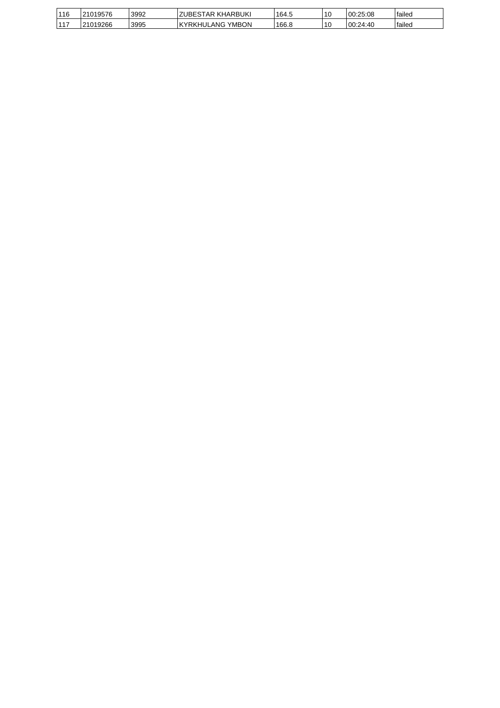| 116            | $34040E7c$<br>19576 | 3992 | <b>;TAR KHARBUKI</b><br><b>ZUBES</b>   | 164.5 | 10 | 00:25:08  | failed |
|----------------|---------------------|------|----------------------------------------|-------|----|-----------|--------|
| $44 -$<br>- 11 | 21019266            | 3995 | <b>YMBON</b><br><b>'YRKHUL</b><br>LANG | 166.8 | 10 | 100:24:40 | failed |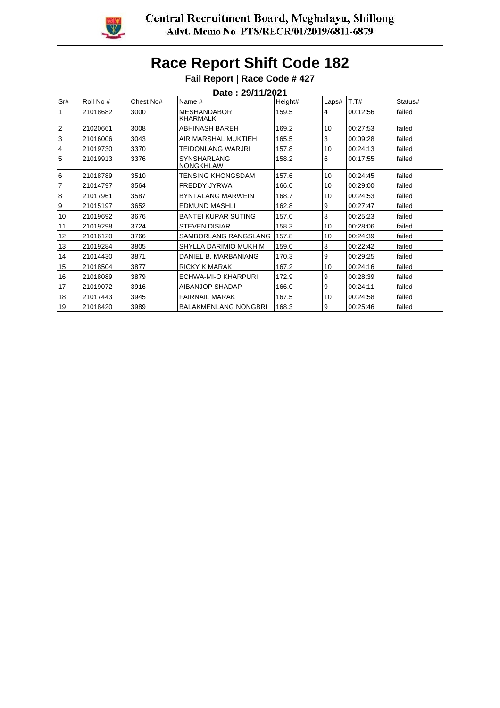

|                |           |           | <u> Date : 29/11/2021</u>              |         |       |          |         |  |
|----------------|-----------|-----------|----------------------------------------|---------|-------|----------|---------|--|
| Sr#            | Roll No # | Chest No# | Name #                                 | Height# | Laps# | T.T#     | Status# |  |
| $\mathbf{1}$   | 21018682  | 3000      | <b>MESHANDABOR</b><br><b>KHARMALKI</b> | 159.5   | 4     | 00:12:56 | failed  |  |
| 2              | 21020661  | 3008      | ABHINASH BAREH                         | 169.2   | 10    | 00:27:53 | failed  |  |
| 3              | 21016006  | 3043      | AIR MARSHAL MUKTIEH                    | 165.5   | 3     | 00:09:28 | failed  |  |
| 4              | 21019730  | 3370      | TEIDONLANG WARJRI                      | 157.8   | 10    | 00:24:13 | failed  |  |
| 5              | 21019913  | 3376      | SYNSHARLANG<br><b>NONGKHLAW</b>        | 158.2   | 6     | 00:17:55 | failed  |  |
| 16             | 21018789  | 3510      | TENSING KHONGSDAM                      | 157.6   | 10    | 00:24:45 | failed  |  |
| $\overline{7}$ | 21014797  | 3564      | <b>FREDDY JYRWA</b>                    | 166.0   | 10    | 00:29:00 | failed  |  |
| 8              | 21017961  | 3587      | <b>BYNTALANG MARWEIN</b>               | 168.7   | 10    | 00:24:53 | failed  |  |
| l 9            | 21015197  | 3652      | EDMUND MASHLI                          | 162.8   | 9     | 00:27:47 | failed  |  |
| 10             | 21019692  | 3676      | <b>BANTEI KUPAR SUTING</b>             | 157.0   | 8     | 00:25:23 | failed  |  |
| 11             | 21019298  | 3724      | <b>STEVEN DISIAR</b>                   | 158.3   | 10    | 00:28:06 | failed  |  |
| 12             | 21016120  | 3766      | SAMBORLANG RANGSLANG                   | 157.8   | 10    | 00:24:39 | failed  |  |
| 13             | 21019284  | 3805      | SHYLLA DARIMIO MUKHIM                  | 159.0   | 8     | 00:22:42 | failed  |  |
| 14             | 21014430  | 3871      | DANIEL B. MARBANIANG                   | 170.3   | 9     | 00:29:25 | failed  |  |
| 15             | 21018504  | 3877      | <b>RICKY K MARAK</b>                   | 167.2   | 10    | 00:24:16 | failed  |  |
| 16             | 21018089  | 3879      | ECHWA-MI-O KHARPURI                    | 172.9   | 9     | 00:28:39 | failed  |  |
| 17             | 21019072  | 3916      | AIBANJOP SHADAP                        | 166.0   | 9     | 00:24:11 | failed  |  |
| 18             | 21017443  | 3945      | <b>FAIRNAIL MARAK</b>                  | 167.5   | 10    | 00:24:58 | failed  |  |
| 19             | 21018420  | 3989      | <b>BALAKMENLANG NONGBRI</b>            | 168.3   | 9     | 00:25:46 | failed  |  |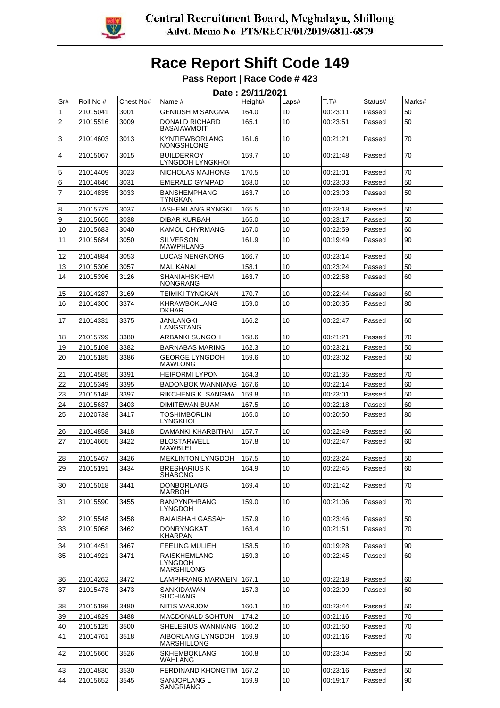

|     | Date: 29/11/2021 |           |                                                     |         |       |          |         |        |  |  |
|-----|------------------|-----------|-----------------------------------------------------|---------|-------|----------|---------|--------|--|--|
| Sr# | Roll No #        | Chest No# | Name #                                              | Height# | Laps# | T.T#     | Status# | Marks# |  |  |
| 1   | 21015041         | 3001      | GENIUSH M SANGMA                                    | 164.0   | 10    | 00:23:11 | Passed  | 50     |  |  |
| 2   | 21015516         | 3009      | DONALD RICHARD<br>BASAIAWMOIT                       | 165.1   | 10    | 00:23:51 | Passed  | 50     |  |  |
| 3   | 21014603         | 3013      | <b>KYNTIEWBORLANG</b><br><b>NONGSHLONG</b>          | 161.6   | 10    | 00:21:21 | Passed  | 70     |  |  |
| 4   | 21015067         | 3015      | <b>BUILDERROY</b><br>LYNGDOH LYNGKHOI               | 159.7   | 10    | 00:21:48 | Passed  | 70     |  |  |
| 5   | 21014409         | 3023      | NICHOLAS MAJHONG                                    | 170.5   | 10    | 00:21:01 | Passed  | 70     |  |  |
| 6   | 21014646         | 3031      | <b>EMERALD GYMPAD</b>                               | 168.0   | 10    | 00:23:03 | Passed  | 50     |  |  |
| 7   | 21014835         | 3033      | <b>BANSHEMPHANG</b><br>TYNGKAN                      | 163.7   | 10    | 00:23:03 | Passed  | 50     |  |  |
| 8   | 21015779         | 3037      | IASHEMLANG RYNGKI                                   | 165.5   | 10    | 00:23:18 | Passed  | 50     |  |  |
| 9   | 21015665         | 3038      | DIBAR KURBAH                                        | 165.0   | 10    | 00:23:17 | Passed  | 50     |  |  |
| 10  | 21015683         | 3040      | KAMOL CHYRMANG                                      | 167.0   | 10    | 00:22:59 | Passed  | 60     |  |  |
| 11  | 21015684         | 3050      | <b>SILVERSON</b><br>MAWPHLANG                       | 161.9   | 10    | 00:19:49 | Passed  | 90     |  |  |
| 12  | 21014884         | 3053      | LUCAS NENGNONG                                      | 166.7   | 10    | 00:23:14 | Passed  | 50     |  |  |
| 13  | 21015306         | 3057      | <b>MAL KANAI</b>                                    | 158.1   | 10    | 00:23:24 | Passed  | 50     |  |  |
| 14  | 21015396         | 3126      | <b>SHANIAHSKHEM</b><br><b>NONGRANG</b>              | 163.7   | 10    | 00:22:58 | Passed  | 60     |  |  |
| 15  | 21014287         | 3169      | TEIMIKI TYNGKAN                                     | 170.7   | 10    | 00:22:44 | Passed  | 60     |  |  |
| 16  | 21014300         | 3374      | KHRAWBOKLANG<br>DKHAR                               | 159.0   | 10    | 00:20:35 | Passed  | 80     |  |  |
| 17  | 21014331         | 3375      | JANLANGKI<br>LANGSTANG                              | 166.2   | 10    | 00:22:47 | Passed  | 60     |  |  |
| 18  | 21015799         | 3380      | ARBANKI SUNGOH                                      | 168.6   | 10    | 00:21:21 | Passed  | 70     |  |  |
| 19  | 21015108         | 3382      | <b>BARNABAS MARING</b>                              | 162.3   | 10    | 00:23:21 | Passed  | 50     |  |  |
| 20  | 21015185         | 3386      | <b>GEORGE LYNGDOH</b><br><b>MAWLONG</b>             | 159.6   | 10    | 00:23:02 | Passed  | 50     |  |  |
| 21  | 21014585         | 3391      | <b>HEIPORMI LYPON</b>                               | 164.3   | 10    | 00:21:35 | Passed  | 70     |  |  |
| 22  | 21015349         | 3395      | <b>BADONBOK WANNIANG</b>                            | 167.6   | 10    | 00:22:14 | Passed  | 60     |  |  |
| 23  | 21015148         | 3397      | RIKCHENG K. SANGMA                                  | 159.8   | 10    | 00:23:01 | Passed  | 50     |  |  |
| 24  | 21015637         | 3403      | <b>DIMITEWAN BUAM</b>                               | 167.5   | 10    | 00:22:18 | Passed  | 60     |  |  |
| 25  | 21020738         | 3417      | <b>TOSHIMBORLIN</b><br><b>LYNGKHOI</b>              | 165.0   | 10    | 00:20:50 | Passed  | 80     |  |  |
| 26  | 21014858         | 3418      | DAMANKI KHARBITHAI                                  | 157.7   | 10    | 00:22:49 | Passed  | 60     |  |  |
| 27  | 21014665         | 3422      | <b>BLOSTARWELL</b><br>MAWBLEI                       | 157.8   | 10    | 00:22:47 | Passed  | 60     |  |  |
| 28  | 21015467         | 3426      | <b>MEKLINTON LYNGDOH</b>                            | 157.5   | 10    | 00:23:24 | Passed  | 50     |  |  |
| 29  | 21015191         | 3434      | <b>BRESHARIUS K</b><br>SHABONG                      | 164.9   | 10    | 00:22:45 | Passed  | 60     |  |  |
| 30  | 21015018         | 3441      | <b>DONBORLANG</b><br>MARBOH                         | 169.4   | 10    | 00:21:42 | Passed  | 70     |  |  |
| 31  | 21015590         | 3455      | <b>BANPYNPHRANG</b><br>LYNGDOH                      | 159.0   | 10    | 00:21:06 | Passed  | 70     |  |  |
| 32  | 21015548         | 3458      | <b>BAIAISHAH GASSAH</b>                             | 157.9   | 10    | 00:23:46 | Passed  | 50     |  |  |
| 33  | 21015068         | 3462      | <b>DONRYNGKAT</b><br><b>KHARPAN</b>                 | 163.4   | 10    | 00:21:51 | Passed  | 70     |  |  |
| 34  | 21014451         | 3467      | <b>FEELING MULIEH</b>                               | 158.5   | 10    | 00:19:28 | Passed  | 90     |  |  |
| 35  | 21014921         | 3471      | <b>RAISKHEMLANG</b><br>LYNGDOH<br><b>MARSHILONG</b> | 159.3   | 10    | 00:22:45 | Passed  | 60     |  |  |
| 36  | 21014262         | 3472      | LAMPHRANG MARWEIN                                   | 167.1   | 10    | 00:22:18 | Passed  | 60     |  |  |
| 37  | 21015473         | 3473      | SANKIDAWAN                                          | 157.3   | 10    | 00:22:09 | Passed  | 60     |  |  |
|     |                  |           | SUCHIANG                                            |         |       |          |         |        |  |  |
| 38  | 21015198         | 3480      | NITIS WARJOM                                        | 160.1   | 10    | 00:23:44 | Passed  | 50     |  |  |
| 39  | 21014829         | 3488      | <b>MACDONALD SOHTUN</b>                             | 174.2   | 10    | 00:21:16 | Passed  | 70     |  |  |
| 40  | 21015125         | 3500      | SHELESIUS WANNIANG                                  | 160.2   | 10    | 00:21:50 | Passed  | 70     |  |  |
| 41  | 21014761         | 3518      | AIBORLANG LYNGDOH<br>MARSHILLONG                    | 159.9   | 10    | 00:21:16 | Passed  | 70     |  |  |
| 42  | 21015660         | 3526      | <b>SKHEMBOKLANG</b><br>WAHLANG                      | 160.8   | 10    | 00:23:04 | Passed  | 50     |  |  |
| 43  | 21014830         | 3530      | FERDINAND KHONGTIM   167.2                          |         | 10    | 00:23:16 | Passed  | 50     |  |  |
| 44  | 21015652         | 3545      | SANJOPLANG L<br>SANGRIANG                           | 159.9   | 10    | 00:19:17 | Passed  | 90     |  |  |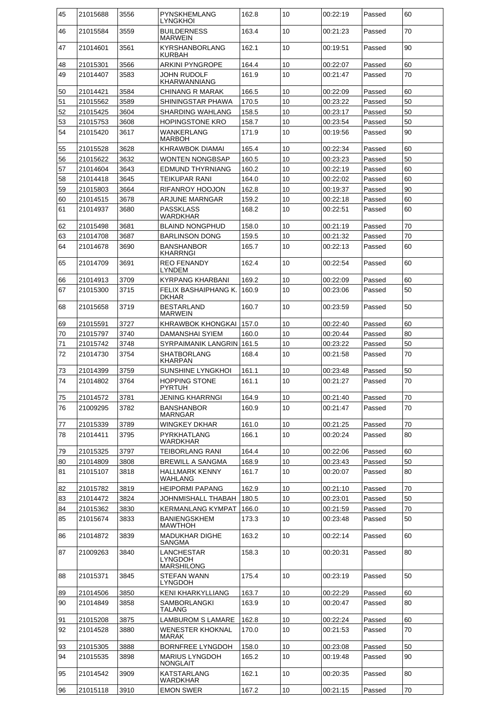| 45 | 21015688 | 3556 | PYNSKHEMLANG<br>LYNGKHOI                   | 162.8 | 10 | 00:22:19 | Passed | 60 |
|----|----------|------|--------------------------------------------|-------|----|----------|--------|----|
| 46 | 21015584 | 3559 | <b>BUILDERNESS</b><br><b>MARWEIN</b>       | 163.4 | 10 | 00:21:23 | Passed | 70 |
| 47 | 21014601 | 3561 | <b>KYRSHANBORLANG</b><br><b>KURBAH</b>     | 162.1 | 10 | 00:19:51 | Passed | 90 |
| 48 | 21015301 | 3566 | <b>ARKINI PYNGROPE</b>                     | 164.4 | 10 | 00:22:07 | Passed | 60 |
| 49 | 21014407 | 3583 | JOHN RUDOLF<br><b>KHARWANNIANG</b>         | 161.9 | 10 | 00:21:47 | Passed | 70 |
| 50 | 21014421 | 3584 | <b>CHINANG R MARAK</b>                     | 166.5 | 10 | 00:22:09 | Passed | 60 |
| 51 | 21015562 | 3589 | SHININGSTAR PHAWA                          | 170.5 | 10 | 00:23:22 | Passed | 50 |
|    |          | 3604 |                                            |       | 10 |          |        | 50 |
| 52 | 21015425 |      | <b>SHARDING WAHLANG</b>                    | 158.5 |    | 00:23:17 | Passed |    |
| 53 | 21015753 | 3608 | <b>HOPINGSTONE KRO</b>                     | 158.7 | 10 | 00:23:54 | Passed | 50 |
| 54 | 21015420 | 3617 | <b>WANKERLANG</b><br><b>MARBOH</b>         | 171.9 | 10 | 00:19:56 | Passed | 90 |
| 55 | 21015528 | 3628 | <b>KHRAWBOK DIAMAI</b>                     | 165.4 | 10 | 00:22:34 | Passed | 60 |
| 56 | 21015622 | 3632 | <b>WONTEN NONGBSAP</b>                     | 160.5 | 10 | 00:23:23 | Passed | 50 |
| 57 | 21014604 | 3643 | <b>EDMUND THYRNIANG</b>                    | 160.2 | 10 | 00:22:19 | Passed | 60 |
| 58 | 21014418 | 3645 | TEIKUPAR RANI                              | 164.0 | 10 | 00:22:02 | Passed | 60 |
| 59 | 21015803 | 3664 | RIFANROY HOOJON                            | 162.8 | 10 | 00:19:37 | Passed | 90 |
| 60 | 21014515 | 3678 | ARJUNE MARNGAR                             | 159.2 | 10 | 00:22:18 | Passed | 60 |
| 61 | 21014937 | 3680 | <b>PASSKLASS</b><br>WARDKHAR               | 168.2 | 10 | 00:22:51 | Passed | 60 |
| 62 | 21015498 | 3681 | <b>BLAIND NONGPHUD</b>                     | 158.0 | 10 | 00:21:19 | Passed | 70 |
| 63 | 21014708 | 3687 | <b>BARLINSON DONG</b>                      | 159.5 | 10 | 00:21:32 | Passed | 70 |
| 64 | 21014678 | 3690 | <b>BANSHANBOR</b><br><b>KHARRNGI</b>       | 165.7 | 10 | 00:22:13 | Passed | 60 |
| 65 | 21014709 | 3691 | <b>REO FENANDY</b><br><b>LYNDEM</b>        | 162.4 | 10 | 00:22:54 | Passed | 60 |
| 66 | 21014913 | 3709 | <b>KYRPANG KHARBANI</b>                    | 169.2 | 10 | 00:22:09 | Passed | 60 |
| 67 | 21015300 | 3715 | FELIX BASHAIPHANG K.                       | 160.9 | 10 | 00:23:06 | Passed | 50 |
|    |          |      | DKHAR                                      |       |    |          |        |    |
| 68 | 21015658 | 3719 | <b>BESTARLAND</b><br><b>MARWEIN</b>        | 160.7 | 10 | 00:23:59 | Passed | 50 |
| 69 | 21015591 | 3727 | KHRAWBOK KHONGKAI                          | 157.0 | 10 | 00:22:40 | Passed | 60 |
| 70 | 21015797 | 3740 | DAMANSHAI SYIEM                            | 160.0 | 10 | 00:20:44 | Passed | 80 |
| 71 | 21015742 | 3748 | SYRPAIMANIK LANGRIN 161.5                  |       | 10 | 00:23:22 | Passed | 50 |
| 72 | 21014730 | 3754 | <b>SHATBORLANG</b><br><b>KHARPAN</b>       | 168.4 | 10 | 00:21:58 | Passed | 70 |
| 73 | 21014399 | 3759 | <b>SUNSHINE LYNGKHOI</b>                   | 161.1 | 10 | 00:23:48 | Passed | 50 |
| 74 | 21014802 | 3764 | <b>HOPPING STONE</b><br>PYRIUH             | 161.1 | 10 | 00:21:27 | Passed | 70 |
| 75 | 21014572 | 3781 | JENING KHARRNGI                            | 164.9 | 10 | 00:21:40 | Passed | 70 |
| 76 | 21009295 | 3782 | <b>BANSHANBOR</b><br><b>MARNGAR</b>        | 160.9 | 10 | 00:21:47 | Passed | 70 |
| 77 | 21015339 | 3789 | <b>WINGKEY DKHAR</b>                       | 161.0 | 10 | 00:21:25 | Passed | 70 |
| 78 | 21014411 | 3795 | PYRKHATLANG<br><b>WARDKHAR</b>             | 166.1 | 10 | 00:20:24 | Passed | 80 |
| 79 | 21015325 | 3797 | <b>TEIBORLANG RANI</b>                     | 164.4 | 10 | 00:22:06 | Passed | 60 |
| 80 | 21014809 | 3808 | <b>BREWILL A SANGMA</b>                    | 168.9 | 10 | 00:23:43 | Passed | 50 |
| 81 | 21015107 | 3818 | <b>HALLMARK KENNY</b><br>WAHLANG           | 161.7 | 10 | 00:20:07 | Passed | 80 |
| 82 | 21015782 | 3819 | <b>HEIPORMI PAPANG</b>                     | 162.9 | 10 | 00:21:10 | Passed | 70 |
| 83 | 21014472 | 3824 |                                            | 180.5 | 10 | 00:23:01 | Passed | 50 |
|    |          |      | JOHNMISHALL THABAH                         |       |    |          |        |    |
| 84 | 21015362 | 3830 | <b>KERMANLANG KYMPAT</b>                   | 166.0 | 10 | 00:21:59 | Passed | 70 |
| 85 | 21015674 | 3833 | <b>BANIENGSKHEM</b><br><b>MAWTHOH</b>      | 173.3 | 10 | 00:23:48 | Passed | 50 |
| 86 | 21014872 | 3839 | <b>MADUKHAR DIGHE</b><br><b>SANGMA</b>     | 163.2 | 10 | 00:22:14 | Passed | 60 |
| 87 | 21009263 | 3840 | LANCHESTAR<br>LYNGDOH<br><b>MARSHILONG</b> | 158.3 | 10 | 00:20:31 | Passed | 80 |
| 88 | 21015371 | 3845 | <b>STEFAN WANN</b><br><b>LYNGDOH</b>       | 175.4 | 10 | 00:23:19 | Passed | 50 |
| 89 | 21014506 | 3850 | <b>KENI KHARKYLLIANG</b>                   | 163.7 | 10 | 00:22:29 | Passed | 60 |
| 90 | 21014849 | 3858 | SAMBORLANGKI<br>TALANG                     | 163.9 | 10 | 00:20:47 | Passed | 80 |
| 91 | 21015208 | 3875 | <b>LAMBUROM S LAMARE</b>                   | 162.8 | 10 | 00:22:24 | Passed | 60 |
| 92 | 21014528 | 3880 | <b>WENESTER KHOKNAL</b><br><b>MARAK</b>    | 170.0 | 10 | 00:21:53 | Passed | 70 |
| 93 | 21015305 | 3888 | <b>BORNFREE LYNGDOH</b>                    | 158.0 | 10 | 00:23:08 | Passed | 50 |
| 94 | 21015535 | 3898 | <b>MARIUS LYNGDOH</b><br><b>NONGLAIT</b>   | 165.2 | 10 | 00:19:48 | Passed | 90 |
| 95 | 21014542 | 3909 | <b>KATSTARLANG</b>                         | 162.1 | 10 | 00:20:35 | Passed | 80 |
| 96 | 21015118 | 3910 | WARDKHAR<br><b>EMON SWER</b>               | 167.2 | 10 | 00:21:15 | Passed | 70 |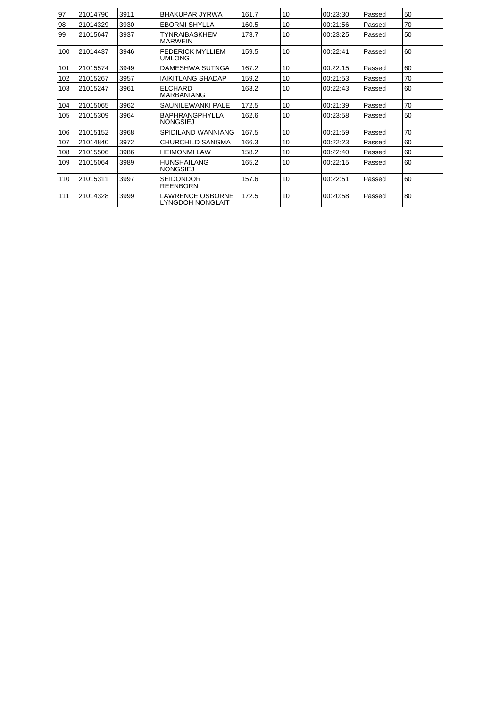| 97  | 21014790 | 3911 | BHAKUPAR JYRWA                               | 161.7 | 10 | 00:23:30 | Passed | 50 |
|-----|----------|------|----------------------------------------------|-------|----|----------|--------|----|
| 98  | 21014329 | 3930 | <b>EBORMI SHYLLA</b>                         | 160.5 | 10 | 00:21:56 | Passed | 70 |
| 99  | 21015647 | 3937 | TYNRAIBASKHEM<br><b>MARWEIN</b>              | 173.7 | 10 | 00:23:25 | Passed | 50 |
| 100 | 21014437 | 3946 | <b>FEDERICK MYLLIEM</b><br><b>UMLONG</b>     | 159.5 | 10 | 00:22:41 | Passed | 60 |
| 101 | 21015574 | 3949 | DAMESHWA SUTNGA                              | 167.2 | 10 | 00:22:15 | Passed | 60 |
| 102 | 21015267 | 3957 | IAIKITLANG SHADAP                            | 159.2 | 10 | 00:21:53 | Passed | 70 |
| 103 | 21015247 | 3961 | <b>ELCHARD</b><br><b>MARBANIANG</b>          | 163.2 | 10 | 00:22:43 | Passed | 60 |
| 104 | 21015065 | 3962 | SAUNIL FWANKLPALE                            | 172.5 | 10 | 00:21:39 | Passed | 70 |
| 105 | 21015309 | 3964 | <b>BAPHRANGPHYLLA</b><br><b>NONGSIEJ</b>     | 162.6 | 10 | 00:23:58 | Passed | 50 |
| 106 | 21015152 | 3968 | SPIDILAND WANNIANG                           | 167.5 | 10 | 00:21:59 | Passed | 70 |
| 107 | 21014840 | 3972 | CHURCHILD SANGMA                             | 166.3 | 10 | 00:22:23 | Passed | 60 |
| 108 | 21015506 | 3986 | <b>HEIMONMI LAW</b>                          | 158.2 | 10 | 00:22:40 | Passed | 60 |
| 109 | 21015064 | 3989 | <b>HUNSHAILANG</b><br><b>NONGSIEJ</b>        | 165.2 | 10 | 00:22:15 | Passed | 60 |
| 110 | 21015311 | 3997 | <b>SEIDONDOR</b><br><b>REENBORN</b>          | 157.6 | 10 | 00:22:51 | Passed | 60 |
| 111 | 21014328 | 3999 | I AWRENCE OSBORNE<br><b>LYNGDOH NONGLAIT</b> | 172.5 | 10 | 00:20:58 | Passed | 80 |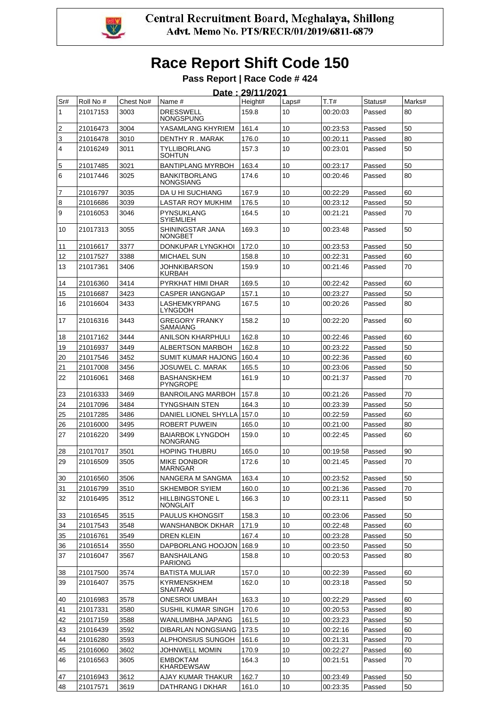

|          | Date: 29/11/2021     |              |                                            |                |          |                      |                  |          |  |  |
|----------|----------------------|--------------|--------------------------------------------|----------------|----------|----------------------|------------------|----------|--|--|
| Sr#      | Roll No #            | Chest No#    | Name #                                     | Height#        | Laps#    | T.T#                 | Status#          | Marks#   |  |  |
| 1        | 21017153             | 3003         | <b>DRESSWELL</b><br>NONGSPUNG              | 159.8          | 10       | 00:20:03             | Passed           | 80       |  |  |
| 2        | 21016473             | 3004         | YASAMLANG KHYRIEM                          | 161.4          | 10       | 00:23:53             | Passed           | 50       |  |  |
| 3        | 21016478             | 3010         | DENTHY R. MARAK                            | 176.0          | 10       | 00:20:11             | Passed           | 80       |  |  |
| 4        | 21016249             | 3011         | TYLLIBORLANG<br><b>SOHTUN</b>              | 157.3          | 10       | 00:23:01             | Passed           | 50       |  |  |
| 5        | 21017485             | 3021         | <b>BANTIPLANG MYRBOH</b>                   | 163.4          | 10       | 00:23:17             | Passed           | 50       |  |  |
| 6        | 21017446             | 3025         | <b>BANKITBORLANG</b><br><b>NONGSIANG</b>   | 174.6          | 10       | 00:20:46             | Passed           | 80       |  |  |
| 7        | 21016797             | 3035         | DA U HI SUCHIANG                           | 167.9          | 10       | 00:22:29             | Passed           | 60       |  |  |
| 8        | 21016686             | 3039         | LASTAR ROY MUKHIM                          | 176.5          | 10       | 00:23:12             | Passed           | 50       |  |  |
| 9        | 21016053             | 3046         | <b>PYNSUKLANG</b><br><b>SYIEMLIEH</b>      | 164.5          | 10       | 00:21:21             | Passed           | 70       |  |  |
| 10       | 21017313             | 3055         | SHININGSTAR JANA<br><b>NONGBET</b>         | 169.3          | 10       | 00:23:48             | Passed           | 50       |  |  |
| 11       | 21016617             | 3377         | DONKUPAR LYNGKHOI                          | 172.0          | 10       | 00:23:53             | Passed           | 50       |  |  |
| 12       | 21017527             | 3388         | <b>MICHAEL SUN</b>                         | 158.8          | 10       | 00:22:31             | Passed           | 60       |  |  |
| 13       | 21017361             | 3406         | JOHNKIBARSON<br><b>KURBAH</b>              | 159.9          | 10       | 00:21:46             | Passed           | 70       |  |  |
| 14       | 21016360             | 3414         | PYRKHAT HIMI DHAR                          | 169.5          | 10       | 00:22:42             | Passed           | 60       |  |  |
| 15       | 21016687             | 3423         | <b>CASPER IANGNGAP</b>                     | 157.1          | 10       | 00:23:27             | Passed           | 50       |  |  |
| 16       | 21016604             | 3433         | LASHEMKYRPANG<br>LYNGDOH                   | 167.5          | 10       | 00:20:26             | Passed           | 80       |  |  |
| 17       | 21016316             | 3443         | GREGORY FRANKY<br>SAMAIANG                 | 158.2          | 10       | 00:22:20             | Passed           | 60       |  |  |
| 18       | 21017162             | 3444         | ANILSON KHARPHULI                          | 162.8          | 10       | 00:22:46             | Passed           | 60       |  |  |
| 19       | 21016937             | 3449         | <b>ALBERTSON MARBOH</b>                    | 162.8          | 10       | 00:23:22             | Passed           | 50       |  |  |
| 20       | 21017546             | 3452         | SUMIT KUMAR HAJONG                         | 160.4          | 10       | 00:22:36             | Passed           | 60       |  |  |
| 21       | 21017008             | 3456         | JOSUWEL C. MARAK                           | 165.5          | 10       | 00:23:06             | Passed           | 50       |  |  |
| 22       | 21016061             | 3468         | <b>BASHANSKHEM</b><br><b>PYNGROPE</b>      | 161.9          | 10       | 00:21:37             | Passed           | 70       |  |  |
| 23       | 21016333             | 3469         | <b>BANROILANG MARBOH</b>                   | 157.8          | 10       | 00:21:26             | Passed           | 70       |  |  |
| 24       | 21017096             | 3484         | TYNGSHAIN STEN                             | 164.3          | 10       | 00:23:39             | Passed           | 50       |  |  |
| 25       | 21017285             | 3486         | DANIEL LIONEL SHYLLA                       | 157.0          | 10       | 00:22:59             | Passed           | 60       |  |  |
| 26       | 21016000             | 3495         | <b>ROBERT PUWEIN</b>                       | 165.0          | 10       | 00:21:00             | Passed           | 80       |  |  |
| 27       | 21016220             | 3499         | <b>BAIARBOK LYNGDOH</b><br><b>NONGRANG</b> | 159.0          | 10       | 00:22:45             | Passed           | 60       |  |  |
| 28       | 21017017             | 3501         | <b>HOPING THUBRU</b>                       | 165.0          | 10       | 00:19:58             | Passed           | 90       |  |  |
| 29       | 21016509             | 3505         | <b>MIKE DONBOR</b><br><b>MARNGAR</b>       | 172.6          | 10       | 00:21:45             | Passed           | 70       |  |  |
| 30       | 21016560             | 3506         | NANGERA M SANGMA                           | 163.4          | 10       | 00:23:52             | Passed           | 50       |  |  |
| 31       | 21016799             | 3510         | <b>SKHEMBOR SYIEM</b>                      | 160.0          | 10       | 00:21:36             | Passed           | 70       |  |  |
| 32       | 21016495             | 3512         | <b>HILLBINGSTONE L</b><br><b>NONGLAIT</b>  | 166.3          | 10       | 00:23:11             | Passed           | 50       |  |  |
| 33       | 21016545             | 3515         | <b>PAULUS KHONGSIT</b>                     | 158.3          | 10       | 00:23:06             | Passed           | 50       |  |  |
| 34       | 21017543             | 3548         | WANSHANBOK DKHAR                           | 171.9          | 10       | 00:22:48             | Passed           | 60       |  |  |
| 35       | 21016761             | 3549         | DREN KLEIN                                 | 167.4          | 10       | 00:23:28             | Passed           | 50       |  |  |
| 36<br>37 | 21016514<br>21016047 | 3550<br>3567 | DAPBORLANG HOOJON<br><b>BANSHAILANG</b>    | 168.9<br>158.8 | 10<br>10 | 00:23:50<br>00:20:53 | Passed<br>Passed | 50<br>80 |  |  |
|          |                      |              | <b>PARIONG</b>                             |                |          |                      |                  |          |  |  |
| 38<br>39 | 21017500<br>21016407 | 3574<br>3575 | <b>BATISTA MULIAR</b><br>KYRMENSKHEM       | 157.0<br>162.0 | 10<br>10 | 00:22:39<br>00:23:18 | Passed<br>Passed | 60<br>50 |  |  |
|          |                      |              | <b>SNAITANG</b>                            |                |          |                      |                  |          |  |  |
| 40       | 21016983             | 3578         | <b>ONESROI UMBAH</b>                       | 163.3          | 10       | 00:22:29             | Passed           | 60       |  |  |
| 41       | 21017331             | 3580         | SUSHIL KUMAR SINGH                         | 170.6          | 10       | 00:20:53             | Passed           | 80       |  |  |
| 42       | 21017159             | 3588         | WANLUMBHA JAPANG                           | 161.5          | 10       | 00:23:23             | Passed           | 50       |  |  |
| 43       | 21016439             | 3592         | DIBARLAN NONGSIANG                         | 173.5          | 10       | 00:22:16             | Passed           | 60       |  |  |
| 44       | 21016280             | 3593         | ALPHONSIUS SUNGOH                          | 161.6          | 10       | 00:21:31             | Passed           | 70       |  |  |
| 45       | 21016060             | 3602         | <b>JOHNWELL MOMIN</b>                      | 170.9          | 10       | 00:22:27             | Passed           | 60       |  |  |
| 46       | 21016563             | 3605         | <b>EMBOKTAM</b><br><b>KHARDEWSAW</b>       | 164.3          | 10       | 00:21:51             | Passed           | 70       |  |  |
| 47       | 21016943             | 3612         | AJAY KUMAR THAKUR                          | 162.7          | 10       | 00:23:49             | Passed           | 50       |  |  |
| 48       | 21017571             | 3619         | DATHRANG I DKHAR                           | 161.0          | 10       | 00:23:35             | Passed           | 50       |  |  |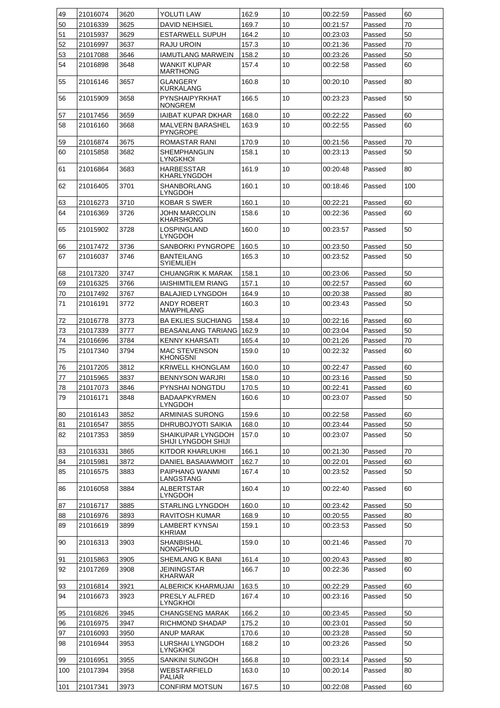| 49  | 21016074 | 3620 | YOLUTI LAW                               | 162.9 | 10 | 00:22:59 | Passed | 60  |
|-----|----------|------|------------------------------------------|-------|----|----------|--------|-----|
| 50  | 21016339 | 3625 | <b>DAVID NEIHSIEL</b>                    | 169.7 | 10 | 00:21:57 | Passed | 70  |
| 51  | 21015937 | 3629 | ESTARWELL SUPUH                          | 164.2 | 10 | 00:23:03 | Passed | 50  |
| 52  | 21016997 | 3637 | RAJU UROIN                               | 157.3 | 10 | 00:21:36 | Passed | 70  |
| 53  | 21017088 | 3646 | IAMUTLANG MARWEIN                        | 158.2 | 10 | 00:23:26 | Passed | 50  |
| 54  | 21016898 | 3648 | WANKIT KUPAR                             | 157.4 | 10 | 00:22:58 | Passed | 60  |
|     |          |      | MARTHONG                                 |       |    |          |        |     |
| 55  | 21016146 | 3657 | GLANGERY<br>KURKALANG                    | 160.8 | 10 | 00:20:10 | Passed | 80  |
| 56  | 21015909 | 3658 | PYNSHAIPYRKHAT<br>NONGREM                | 166.5 | 10 | 00:23:23 | Passed | 50  |
| 57  | 21017456 | 3659 | IAIBAT KUPAR DKHAR                       | 168.0 | 10 | 00:22:22 | Passed | 60  |
| 58  | 21016160 | 3668 | MALVERN BARASHEL<br><b>PYNGROPE</b>      | 163.9 | 10 | 00:22:55 | Passed | 60  |
| 59  | 21016874 | 3675 | ROMASTAR RANI                            | 170.9 | 10 | 00:21:56 | Passed | 70  |
| 60  | 21015858 | 3682 | SHEMPHANGLIN                             | 158.1 | 10 | 00:23:13 | Passed | 50  |
| 61  | 21016864 | 3683 | lyngkhoi<br>HARBESSTAR                   | 161.9 | 10 | 00:20:48 | Passed | 80  |
|     |          |      | KHARLYNGDOH                              |       |    |          |        |     |
| 62  | 21016405 | 3701 | SHANBORLANG<br><b>LYNGDOH</b>            | 160.1 | 10 | 00:18:46 | Passed | 100 |
| 63  | 21016273 | 3710 | <b>KOBAR S SWER</b>                      | 160.1 | 10 | 00:22:21 | Passed | 60  |
| 64  | 21016369 | 3726 | JOHN MARCOLIN<br>KHARSHONG               | 158.6 | 10 | 00:22:36 | Passed | 60  |
| 65  | 21015902 | 3728 | LOSPINGLAND<br>LYNGDOH                   | 160.0 | 10 | 00:23:57 | Passed | 50  |
| 66  | 21017472 | 3736 | SANBORKI PYNGROPE                        | 160.5 | 10 | 00:23:50 | Passed | 50  |
| 67  | 21016037 | 3746 | <b>BANTEILANG</b><br><b>SYIEMLIEH</b>    | 165.3 | 10 | 00:23:52 | Passed | 50  |
| 68  | 21017320 | 3747 | CHUANGRIK K MARAK                        | 158.1 | 10 | 00:23:06 | Passed | 50  |
| 69  | 21016325 | 3766 | <b>IAISHIMTILEM RIANG</b>                | 157.1 | 10 | 00:22:57 | Passed | 60  |
| 70  | 21017492 | 3767 | <b>BALAJIED LYNGDOH</b>                  | 164.9 | 10 | 00:20:38 | Passed | 80  |
| 71  | 21016191 | 3772 | ANDY ROBERT<br><b>MAWPHLANG</b>          | 160.3 | 10 | 00:23:43 | Passed | 50  |
| 72  | 21016778 | 3773 | <b>BA EKLIES SUCHIANG</b>                | 158.4 | 10 | 00:22:16 | Passed | 60  |
| 73  | 21017339 | 3777 | BEASANLANG TARIANG                       | 162.9 | 10 | 00:23:04 | Passed | 50  |
| 74  | 21016696 | 3784 | <b>KENNY KHARSATI</b>                    | 165.4 | 10 | 00:21:26 | Passed | 70  |
| 75  | 21017340 | 3794 | <b>MAC STEVENSON</b><br>KHONGSNI         | 159.0 | 10 | 00:22:32 | Passed | 60  |
| 76  | 21017205 | 3812 | KRIWELL KHONGLAM                         | 160.0 | 10 | 00:22:47 | Passed | 60  |
| 77  | 21015965 | 3837 | <b>BENNYSON WARJRI</b>                   | 158.0 | 10 | 00:23:16 | Passed | 50  |
| 78  | 21017073 | 3846 | PYNSHAI NONGTDU                          | 170.5 | 10 | 00:22:41 | Passed | 60  |
| 79  | 21016171 | 3848 | <b>BADAAPKYRMEN</b><br>LYNGDOH           | 160.6 | 10 | 00:23:07 | Passed | 50  |
| 80  | 21016143 | 3852 | ARMINIAS SURONG                          | 159.6 | 10 | 00:22:58 | Passed | 60  |
| 81  | 21016547 | 3855 | DHRUBOJYOTI SAIKIA                       | 168.0 | 10 | 00:23:44 | Passed | 50  |
| 82  | 21017353 | 3859 | SHAIKUPAR LYNGDOH<br>SHIJI LYNGDOH SHIJI | 157.0 | 10 | 00:23:07 | Passed | 50  |
| 83  | 21016331 | 3865 | KITDOR KHARLUKHI                         | 166.1 | 10 | 00:21:30 | Passed | 70  |
| 84  | 21015981 | 3872 | DANIEL BASAIAWMOIT                       | 162.7 | 10 | 00:22:01 | Passed | 60  |
| 85  | 21016575 | 3883 | PAIPHANG WANMI                           | 167.4 | 10 | 00:23:52 | Passed | 50  |
| 86  | 21016058 | 3884 | LANGSTANG<br>ALBERTSTAR                  | 160.4 | 10 | 00:22:40 | Passed | 60  |
| 87  | 21016717 | 3885 | LYNGDOH<br>STARLING LYNGDOH              | 160.0 | 10 | 00:23:42 | Passed | 50  |
| 88  | 21016976 | 3893 | RAVITOSH KUMAR                           | 168.9 | 10 | 00:20:55 | Passed | 80  |
| 89  | 21016619 | 3899 | LAMBERT KYNSAI                           | 159.1 | 10 | 00:23:53 | Passed | 50  |
| 90  | 21016313 | 3903 | <b>KHRIAM</b><br>SHANBISHAL<br>NONGPHUD  | 159.0 | 10 | 00:21:46 | Passed | 70  |
| 91  | 21015863 | 3905 | SHEMLANG K BANI                          | 161.4 | 10 | 00:20:43 | Passed | 80  |
| 92  | 21017269 | 3908 | JEININGSTAR                              | 166.7 | 10 | 00:22:36 | Passed | 60  |
|     |          |      | <b>KHARWAR</b>                           |       |    |          |        |     |
| 93  | 21016814 | 3921 | ALBERICK KHARMUJAI                       | 163.5 | 10 | 00:22:29 | Passed | 60  |
| 94  | 21016673 | 3923 | PRESLY ALFRED<br>LYNGKHOI                | 167.4 | 10 | 00:23:16 | Passed | 50  |
| 95  | 21016826 | 3945 | <b>CHANGSENG MARAK</b>                   | 166.2 | 10 | 00:23:45 | Passed | 50  |
| 96  | 21016975 | 3947 | RICHMOND SHADAP                          | 175.2 | 10 | 00:23:01 | Passed | 50  |
| 97  | 21016093 | 3950 | <b>ANUP MARAK</b>                        | 170.6 | 10 | 00:23:28 | Passed | 50  |
| 98  | 21016944 | 3953 | LURSHAI LYNGDOH<br>LYNGKHOI              | 168.2 | 10 | 00:23:26 | Passed | 50  |
| 99  | 21016951 | 3955 | SANKINI SUNGOH                           | 166.8 | 10 | 00:23:14 | Passed | 50  |
| 100 | 21017394 | 3958 | <b>WEBSTARFIELD</b><br>PALIAR            | 163.0 | 10 | 00:20:14 | Passed | 80  |
| 101 | 21017341 | 3973 | CONFIRM MOTSUN                           | 167.5 | 10 | 00:22:08 | Passed | 60  |
|     |          |      |                                          |       |    |          |        |     |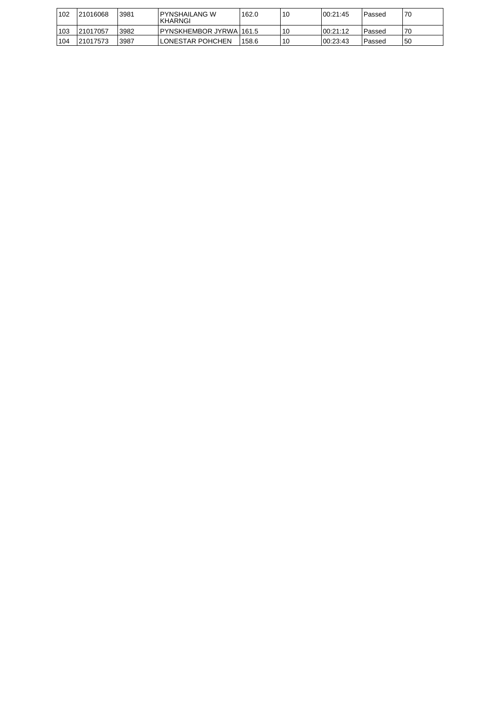| 102 | 121016068 | 3981 | IPYNSHAILANG W<br><b>IKHARNGI</b> | 162.0 | 10 | 100:21:45 | Passed   | '70 |
|-----|-----------|------|-----------------------------------|-------|----|-----------|----------|-----|
| 103 | 121017057 | 3982 | IPYNSKHEMBOR JYRWA1161.5          |       | 10 | 00:21:12  | l Passed | 70  |
| 104 | 121017573 | 3987 | ILONESTAR POHCHEN                 | 158.6 | 10 | 100:23:43 | Passed   | 150 |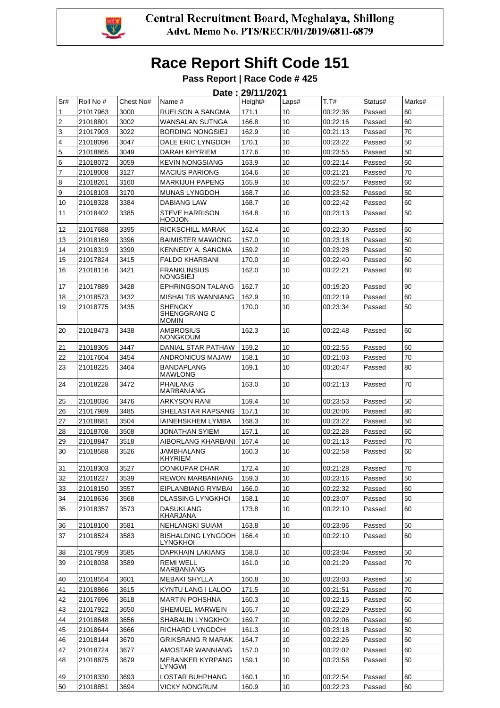

|     | Date: 29/11/2021 |           |                                         |         |                 |          |         |        |  |  |
|-----|------------------|-----------|-----------------------------------------|---------|-----------------|----------|---------|--------|--|--|
| Sr# | Roll No #        | Chest No# | Name #                                  | Height# | Laps#           | T.T#     | Status# | Marks# |  |  |
| 1   | 21017963         | 3000      | RUELSON A SANGMA                        | 171.1   | 10              | 00:22:36 | Passed  | 60     |  |  |
| 2   | 21018801         | 3002      | WANSALAN SUTNGA                         | 166.8   | 10              | 00:22:16 | Passed  | 60     |  |  |
| 3   | 21017903         | 3022      | <b>BORDING NONGSIEJ</b>                 | 162.9   | 10              | 00:21:13 | Passed  | 70     |  |  |
| 4   | 21018096         | 3047      | DALE ERIC LYNGDOH                       | 170.1   | 10              | 00:23:22 | Passed  | 50     |  |  |
| 5   | 21018865         | 3049      | DARAH KHYRIEM                           | 177.6   | 10              | 00:23:55 | Passed  | 50     |  |  |
| 6   | 21018072         | 3059      | <b>KEVIN NONGSIANG</b>                  | 163.9   | 10              | 00:22:14 | Passed  | 60     |  |  |
| 7   | 21018008         | 3127      | <b>MACIUS PARIONG</b>                   | 164.6   | 10              | 00:21:21 | Passed  | 70     |  |  |
| 8   | 21018261         | 3160      | <b>MARKIJUH PAPENG</b>                  | 165.9   | 10              | 00:22:57 | Passed  | 60     |  |  |
| 9   | 21018103         | 3170      | <b>MUNAS LYNGDOH</b>                    | 168.7   | 10              | 00:23:52 | Passed  | 50     |  |  |
| 10  | 21018328         | 3384      | <b>DABIANG LAW</b>                      | 168.7   | 10              | 00:22:42 | Passed  | 60     |  |  |
| 11  | 21018402         | 3385      | <b>STEVE HARRISON</b><br><b>HOOJON</b>  | 164.8   | 10              | 00:23:13 | Passed  | 50     |  |  |
| 12  | 21017688         | 3395      | RICKSCHILL MARAK                        | 162.4   | 10              | 00:22:30 | Passed  | 60     |  |  |
| 13  | 21018169         | 3396      | <b>BAIMISTER MAWIONG</b>                | 157.0   | 10              | 00:23:18 | Passed  | 50     |  |  |
| 14  | 21018319         | 3399      | <b>KENNEDY A. SANGMA</b>                | 159.2   | 10              | 00:23:28 | Passed  | 50     |  |  |
| 15  | 21017824         | 3415      | <b>FALDO KHARBANI</b>                   | 170.0   | 10              | 00:22:40 | Passed  | 60     |  |  |
| 16  | 21018116         | 3421      | <b>FRANKLINSIUS</b><br><b>NONGSIEJ</b>  | 162.0   | 10              | 00:22:21 | Passed  | 60     |  |  |
| 17  | 21017889         | 3428      | <b>EPHRINGSON TALANG</b>                | 162.7   | 10              | 00:19:20 | Passed  | 90     |  |  |
| 18  | 21018573         | 3432      | <b>MISHALTIS WANNIANG</b>               | 162.9   | 10              | 00:22:19 | Passed  | 60     |  |  |
| 19  | 21018775         | 3435      | SHENGKY<br>SHENGGRANG C<br><b>MOMIN</b> | 170.0   | 10              | 00:23:34 | Passed  | 50     |  |  |
| 20  | 21018473         | 3438      | <b>AMBROSIUS</b><br><b>NONGKOUM</b>     | 162.3   | 10              | 00:22:48 | Passed  | 60     |  |  |
| 21  | 21018305         | 3447      | DANIAL STAR PATHAW                      | 159.2   | 10              | 00:22:55 | Passed  | 60     |  |  |
| 22  | 21017604         | 3454      | ANDRONICUS MAJAW                        | 158.1   | 10              | 00:21:03 | Passed  | 70     |  |  |
| 23  | 21018225         | 3464      | <b>BANDAPLANG</b><br><b>MAWLONG</b>     | 169.1   | 10              | 00:20:47 | Passed  | 80     |  |  |
| 24  | 21018228         | 3472      | <b>PHAILANG</b><br><b>MARBANIANG</b>    | 163.0   | 10              | 00:21:13 | Passed  | 70     |  |  |
| 25  | 21018036         | 3476      | <b>ARKYSON RANI</b>                     | 159.4   | 10              | 00:23:53 | Passed  | 50     |  |  |
| 26  | 21017989         | 3485      | SHELASTAR RAPSANG                       | 157.1   | 10              | 00:20:06 | Passed  | 80     |  |  |
| 27  | 21018681         | 3504      | <b>IAINEHSKHEM LYMBA</b>                | 168.3   | 10              | 00:23:22 | Passed  | 50     |  |  |
| 28  | 21018708         | 3508      | JONATHAN SYIEM                          | 157.1   | 10              | 00:22:28 | Passed  | 60     |  |  |
| 29  | 21018847         | 3518      | AIBORLANG KHARBANI                      | 167.4   | 10              | 00:21:13 | Passed  | 70     |  |  |
| 30  | 21018588         | 3526      | JAMBHALANG<br><b>KHYRIEM</b>            | 160.3   | 10              | 00:22:58 | Passed  | 60     |  |  |
| 31  | 21018303         | 3527      | DONKUPAR DHAR                           | 172.4   | 10              | 00:21:28 | Passed  | 70     |  |  |
| 32  | 21018227         | 3539      | <b>REWON MARBANIANG</b>                 | 159.3   | 10              | 00:23:16 | Passed  | 50     |  |  |
| 33  | 21018150         | 3557      | EIPLANBIANG RYMBAI                      | 166.0   | 10              | 00:22:32 | Passed  | 60     |  |  |
| 34  | 21018636         | 3568      | <b>DLASSING LYNGKHOI</b>                | 158.1   | 10              | 00:23:07 | Passed  | 50     |  |  |
| 35  | 21018357         | 3573      | <b>DASUKLANG</b><br>KHARJANA            | 173.8   | 10 <sup>°</sup> | 00:22:10 | Passed  | 60     |  |  |
| 36  | 21018100         | 3581      | NEHLANGKI SUIAM                         | 163.8   | 10              | 00:23:06 | Passed  | 50     |  |  |
| 37  | 21018524         | 3583      | <b>BISHALDING LYNGDOH</b><br>LYNGKHOI   | 166.4   | 10              | 00:22:10 | Passed  | 60     |  |  |
| 38  | 21017959         | 3585      | DAPKHAIN LAKIANG                        | 158.0   | 10              | 00:23:04 | Passed  | 50     |  |  |
| 39  | 21018038         | 3589      | <b>REMI WELL</b><br><b>MARBANIANG</b>   | 161.0   | 10              | 00:21:29 | Passed  | 70     |  |  |
| 40  | 21018554         | 3601      | MEBAKI SHYLLA                           | 160.8   | 10              | 00:23:03 | Passed  | 50     |  |  |
| 41  | 21018866         | 3615      | KYNTU LANG I LALOO                      | 171.5   | 10              | 00:21:51 | Passed  | 70     |  |  |
| 42  | 21017696         | 3618      | <b>MARTIN POHSHNA</b>                   | 160.3   | 10              | 00:22:15 | Passed  | 60     |  |  |
| 43  | 21017922         | 3650      | SHEMUEL MARWEIN                         | 165.7   | 10              | 00:22:29 | Passed  | 60     |  |  |
| 44  | 21018648         | 3656      | SHABALIN LYNGKHOI                       | 169.7   | 10              | 00:22:06 | Passed  | 60     |  |  |
| 45  | 21018644         | 3666      | RICHARD LYNGDOH                         | 161.3   | 10              | 00:23:18 | Passed  | 50     |  |  |
| 46  | 21018144         | 3670      | <b>GRIKSRANG R MARAK</b>                | 164.7   | 10              | 00:22:26 | Passed  | 60     |  |  |
| 47  | 21018724         | 3677      | AMOSTAR WANNIANG                        | 157.0   | 10              | 00:22:02 | Passed  | 60     |  |  |
| 48  | 21018875         | 3679      | <b>MEBANKER KYRPANG</b><br>LYNGWI       | 159.1   | 10              | 00:23:58 | Passed  | 50     |  |  |
| 49  | 21018330         | 3693      | LOSTAR BUHPHANG                         | 160.1   | 10              | 00:22:54 | Passed  | 60     |  |  |
| 50  | 21018851         | 3694      | <b>VICKY NONGRUM</b>                    | 160.9   | 10              | 00:22:23 | Passed  | 60     |  |  |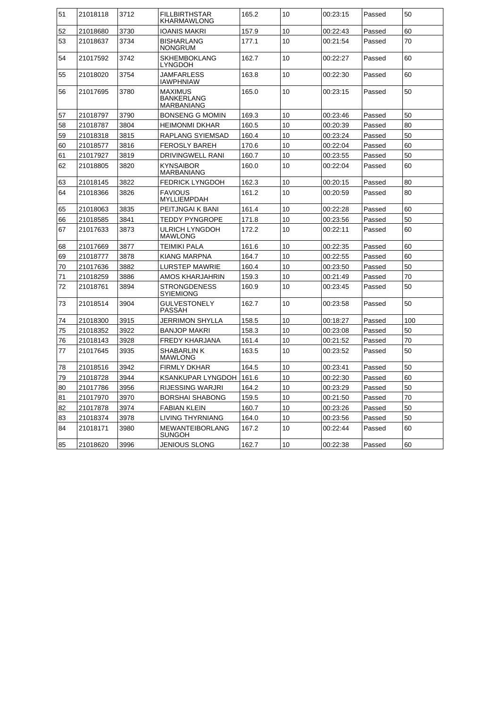| 51 | 21018118 | 3712 | <b>FILLBIRTHSTAR</b><br>KHARMAWLONG               | 165.2 | 10 | 00:23:15 | Passed | 50  |
|----|----------|------|---------------------------------------------------|-------|----|----------|--------|-----|
| 52 | 21018680 | 3730 | <b>IOANIS MAKRI</b>                               | 157.9 | 10 | 00:22:43 | Passed | 60  |
| 53 | 21018637 | 3734 | <b>BISHARLANG</b><br><b>NONGRUM</b>               | 177.1 | 10 | 00:21:54 | Passed | 70  |
| 54 | 21017592 | 3742 | <b>SKHEMBOKLANG</b><br>LYNGDOH                    | 162.7 | 10 | 00:22:27 | Passed | 60  |
| 55 | 21018020 | 3754 | JAMFARLESS<br><b>IAWPHNIAW</b>                    | 163.8 | 10 | 00:22:30 | Passed | 60  |
| 56 | 21017695 | 3780 | <b>MAXIMUS</b><br>BANKERLANG<br><b>MARBANIANG</b> | 165.0 | 10 | 00:23:15 | Passed | 50  |
| 57 | 21018797 | 3790 | <b>BONSENG G MOMIN</b>                            | 169.3 | 10 | 00:23:46 | Passed | 50  |
| 58 | 21018787 | 3804 | <b>HEIMONMI DKHAR</b>                             | 160.5 | 10 | 00:20:39 | Passed | 80  |
| 59 | 21018318 | 3815 | RAPLANG SYIEMSAD                                  | 160.4 | 10 | 00:23:24 | Passed | 50  |
| 60 | 21018577 | 3816 | <b>FEROSLY BAREH</b>                              | 170.6 | 10 | 00:22:04 | Passed | 60  |
| 61 | 21017927 | 3819 | DRIVINGWELL RANI                                  | 160.7 | 10 | 00:23:55 | Passed | 50  |
| 62 | 21018805 | 3820 | <b>KYNSAIBOR</b><br><b>MARBANIANG</b>             | 160.0 | 10 | 00:22:04 | Passed | 60  |
| 63 | 21018145 | 3822 | <b>FEDRICK LYNGDOH</b>                            | 162.3 | 10 | 00:20:15 | Passed | 80  |
| 64 | 21018366 | 3826 | <b>FAVIOUS</b><br>MYLLIEMPDAH                     | 161.2 | 10 | 00:20:59 | Passed | 80  |
| 65 | 21018063 | 3835 | PEITJNGAI K BANI                                  | 161.4 | 10 | 00:22:28 | Passed | 60  |
| 66 | 21018585 | 3841 | TEDDY PYNGROPE                                    | 171.8 | 10 | 00:23:56 | Passed | 50  |
| 67 | 21017633 | 3873 | <b>ULRICH LYNGDOH</b><br><b>MAWLONG</b>           | 172.2 | 10 | 00:22:11 | Passed | 60  |
| 68 | 21017669 | 3877 | <b>TEIMIKI PALA</b>                               | 161.6 | 10 | 00:22:35 | Passed | 60  |
| 69 | 21018777 | 3878 | KIANG MARPNA                                      | 164.7 | 10 | 00:22:55 | Passed | 60  |
| 70 | 21017636 | 3882 | LURSTEP MAWRIE                                    | 160.4 | 10 | 00:23:50 | Passed | 50  |
| 71 | 21018259 | 3886 | AMOS KHARJAHRIN                                   | 159.3 | 10 | 00:21:49 | Passed | 70  |
| 72 | 21018761 | 3894 | <b>STRONGDENESS</b><br><b>SYIEMIONG</b>           | 160.9 | 10 | 00:23:45 | Passed | 50  |
| 73 | 21018514 | 3904 | GULVESTONELY<br>PASSAH                            | 162.7 | 10 | 00:23:58 | Passed | 50  |
| 74 | 21018300 | 3915 | JERRIMON SHYLLA                                   | 158.5 | 10 | 00:18:27 | Passed | 100 |
| 75 | 21018352 | 3922 | <b>BANJOP MAKRI</b>                               | 158.3 | 10 | 00:23:08 | Passed | 50  |
| 76 | 21018143 | 3928 | <b>FREDY KHARJANA</b>                             | 161.4 | 10 | 00:21:52 | Passed | 70  |
| 77 | 21017645 | 3935 | SHABARLIN K<br><b>MAWLONG</b>                     | 163.5 | 10 | 00:23:52 | Passed | 50  |
| 78 | 21018516 | 3942 | <b>FIRMLY DKHAR</b>                               | 164.5 | 10 | 00:23:41 | Passed | 50  |
| 79 | 21018728 | 3944 | KSANKUPAR LYNGDOH                                 | 161.6 | 10 | 00:22:30 | Passed | 60  |
| 80 | 21017786 | 3956 | RIJESSING WARJRI                                  | 164.2 | 10 | 00:23:29 | Passed | 50  |
| 81 | 21017970 | 3970 | <b>BORSHAI SHABONG</b>                            | 159.5 | 10 | 00:21:50 | Passed | 70  |
| 82 | 21017878 | 3974 | <b>FABIAN KLEIN</b>                               | 160.7 | 10 | 00:23:26 | Passed | 50  |
| 83 | 21018374 | 3978 | LIVING THYRNIANG                                  | 164.0 | 10 | 00:23:56 | Passed | 50  |
| 84 | 21018171 | 3980 | <b>MEWANTEIBORLANG</b><br>SUNGOH                  | 167.2 | 10 | 00:22:44 | Passed | 60  |
| 85 | 21018620 | 3996 | JENIOUS SLONG                                     | 162.7 | 10 | 00:22:38 | Passed | 60  |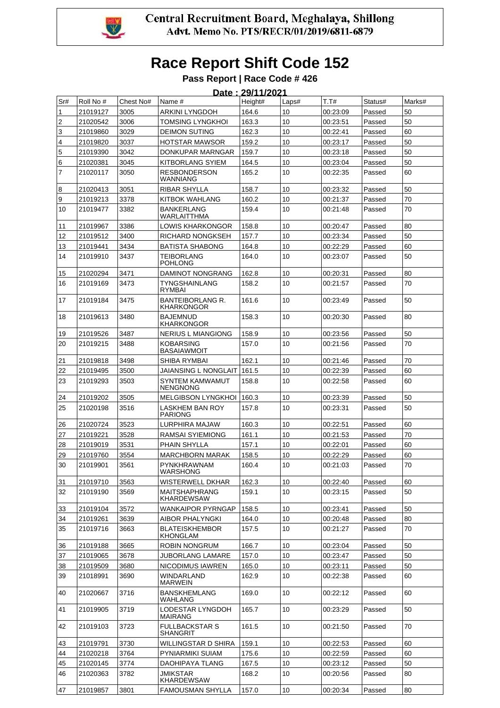

|                | Date: 29/11/2021 |           |                                              |         |                 |          |         |        |  |  |
|----------------|------------------|-----------|----------------------------------------------|---------|-----------------|----------|---------|--------|--|--|
| Sr#            | Roll No #        | Chest No# | Name #                                       | Height# | Laps#           | T.T#     | Status# | Marks# |  |  |
| 1              | 21019127         | 3005      | <b>ARKINI LYNGDOH</b>                        | 164.6   | 10              | 00:23:09 | Passed  | 50     |  |  |
| 2              | 21020542         | 3006      | TOMSING LYNGKHOI                             | 163.3   | 10              | 00:23:51 | Passed  | 50     |  |  |
| 3              | 21019860         | 3029      | <b>DEIMON SUTING</b>                         | 162.3   | 10              | 00:22:41 | Passed  | 60     |  |  |
| 4              | 21019820         | 3037      | <b>HOTSTAR MAWSOR</b>                        | 159.2   | 10              | 00:23:17 | Passed  | 50     |  |  |
| 5              | 21019390         | 3042      | DONKUPAR MARNGAR                             | 159.7   | 10              | 00:23:18 | Passed  | 50     |  |  |
| 6              | 21020381         | 3045      | <b>KITBORLANG SYIEM</b>                      | 164.5   | 10              | 00:23:04 | Passed  | 50     |  |  |
| $\overline{7}$ | 21020117         | 3050      | <b>RESBONDERSON</b><br>WANNIANG              | 165.2   | 10              | 00:22:35 | Passed  | 60     |  |  |
| 8              | 21020413         | 3051      | RIBAR SHYLLA                                 | 158.7   | 10              | 00:23:32 | Passed  | 50     |  |  |
| 9              | 21019213         | 3378      | <b>KITBOK WAHLANG</b>                        | 160.2   | 10              | 00:21:37 | Passed  | 70     |  |  |
| 10             | 21019477         | 3382      | <b>BANKERLANG</b><br>WARLAITTHMA             | 159.4   | 10              | 00:21:48 | Passed  | 70     |  |  |
| 11             | 21019967         | 3386      | <b>LOWIS KHARKONGOR</b>                      | 158.8   | 10              | 00:20:47 | Passed  | 80     |  |  |
| 12             | 21019512         | 3400      | RICHARD NONGKSEH                             | 157.7   | 10              | 00:23:34 | Passed  | 50     |  |  |
| 13             | 21019441         | 3434      | <b>BATISTA SHABONG</b>                       | 164.8   | 10              | 00:22:29 | Passed  | 60     |  |  |
| 14             | 21019910         | 3437      | <b>TEIBORLANG</b><br><b>POHLONG</b>          | 164.0   | 10              | 00:23:07 | Passed  | 50     |  |  |
| 15             | 21020294         | 3471      | <b>DAMINOT NONGRANG</b>                      | 162.8   | 10              | 00:20:31 | Passed  | 80     |  |  |
| 16             | 21019169         | 3473      | TYNGSHAINLANG<br><b>RYMBAI</b>               | 158.2   | 10              | 00:21:57 | Passed  | 70     |  |  |
| 17             | 21019184         | 3475      | <b>BANTEIBORLANG R.</b><br><b>KHARKONGOR</b> | 161.6   | 10              | 00:23:49 | Passed  | 50     |  |  |
| 18             | 21019613         | 3480      | <b>BAJEMNUD</b><br><b>KHARKONGOR</b>         | 158.3   | 10              | 00:20:30 | Passed  | 80     |  |  |
| 19             | 21019526         | 3487      | <b>NERIUS L MIANGIONG</b>                    | 158.9   | 10              | 00:23:56 | Passed  | 50     |  |  |
| 20             | 21019215         | 3488      | <b>KOBARSING</b><br><b>BASAIAWMOIT</b>       | 157.0   | 10              | 00:21:56 | Passed  | 70     |  |  |
| 21             | 21019818         | 3498      | SHIBA RYMBAI                                 | 162.1   | 10              | 00:21:46 | Passed  | 70     |  |  |
| 22             | 21019495         | 3500      | JAIANSING L NONGLAIT                         | 161.5   | 10              | 00:22:39 | Passed  | 60     |  |  |
| 23             | 21019293         | 3503      | SYNTEM KAMWAMUT<br><b>NENGNONG</b>           | 158.8   | 10              | 00:22:58 | Passed  | 60     |  |  |
| 24             | 21019202         | 3505      | <b>MELGIBSON LYNGKHOI</b>                    | 160.3   | 10              | 00:23:39 | Passed  | 50     |  |  |
| 25             | 21020198         | 3516      | <b>LASKHEM BAN ROY</b><br><b>PARIONG</b>     | 157.8   | 10              | 00:23:31 | Passed  | 50     |  |  |
| 26             | 21020724         | 3523      | LURPHIRA MAJAW                               | 160.3   | 10              | 00:22:51 | Passed  | 60     |  |  |
| 27             | 21019221         | 3528      | RAMSAI SYIEMIONG                             | 161.1   | 10              | 00:21:53 | Passed  | 70     |  |  |
| 28             | 21019019         | 3531      | <b>PHAIN SHYLLA</b>                          | 157.1   | 10              | 00:22:01 | Passed  | 60     |  |  |
| 29             | 21019760         | 3554      | <b>MARCHBORN MARAK</b>                       | 158.5   | 10              | 00:22:29 | Passed  | 60     |  |  |
| 30             | 21019901         | 3561      | <b>PYNKHRAWNAM</b><br><b>WARSHONG</b>        | 160.4   | 10              | 00:21:03 | Passed  | 70     |  |  |
| 31             | 21019710         | 3563      | WISTERWELL DKHAR                             | 162.3   | 10              | 00:22:40 | Passed  | 60     |  |  |
| 32             | 21019190         | 3569      | <b>MAITSHAPHRANG</b><br><b>KHARDEWSAW</b>    | 159.1   | 10              | 00:23:15 | Passed  | 50     |  |  |
| 33             | 21019104         | 3572      | <b>WANKAIPOR PYRNGAP</b>                     | 158.5   | 10              | 00:23:41 | Passed  | 50     |  |  |
| 34             | 21019261         | 3639      | <b>AIBOR PHALYNGKI</b>                       | 164.0   | 10              | 00:20:48 | Passed  | 80     |  |  |
| 35             | 21019716         | 3663      | <b>BLATEISKHEMBOR</b><br>KHONGLAM            | 157.5   | 10              | 00:21:27 | Passed  | 70     |  |  |
| 36             | 21019188         | 3665      | <b>ROBIN NONGRUM</b>                         | 166.7   | 10              | 00:23:04 | Passed  | 50     |  |  |
| 37             | 21019065         | 3678      | JUBORLANG LAMARE                             | 157.0   | 10              | 00:23:47 | Passed  | 50     |  |  |
| 38             | 21019509         | 3680      | NICODIMUS IAWREN                             | 165.0   | 10              | 00:23:11 | Passed  | 50     |  |  |
| 39             | 21018991         | 3690      | <b>WINDARLAND</b><br><b>MARWEIN</b>          | 162.9   | 10              | 00:22:38 | Passed  | 60     |  |  |
| 40             | 21020667         | 3716      | <b>BANSKHEMLANG</b><br>WAHLANG               | 169.0   | 10              | 00:22:12 | Passed  | 60     |  |  |
| 41             | 21019905         | 3719      | LODESTAR LYNGDOH<br>MAIRANG                  | 165.7   | 10              | 00:23:29 | Passed  | 50     |  |  |
| 42             | 21019103         | 3723      | <b>FULLBACKSTAR S</b><br><b>SHANGRIT</b>     | 161.5   | 10 <sup>°</sup> | 00:21:50 | Passed  | 70     |  |  |
| 43             | 21019791         | 3730      | WILLINGSTAR D SHIRA                          | 159.1   | 10              | 00:22:53 | Passed  | 60     |  |  |
| 44             | 21020218         | 3764      | PYNIARMIKI SUIAM                             | 175.6   | 10              | 00:22:59 | Passed  | 60     |  |  |
| 45             | 21020145         | 3774      | DAOHIPAYA TLANG                              | 167.5   | 10              | 00:23:12 | Passed  | 50     |  |  |
| 46             | 21020363         | 3782      | JMIKSTAR<br><b>KHARDEWSAW</b>                | 168.2   | 10              | 00:20:56 | Passed  | 80     |  |  |
| 47             | 21019857         | 3801      | <b>FAMOUSMAN SHYLLA</b>                      | 157.0   | 10              | 00:20:34 | Passed  | 80     |  |  |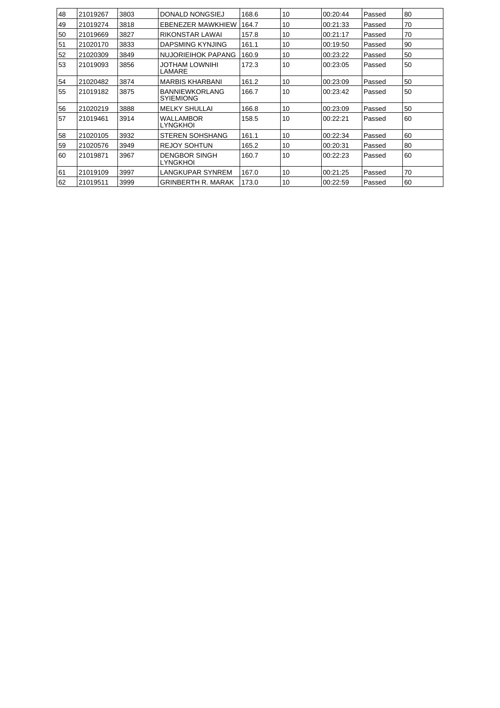| 48 | 21019267 | 3803 | DONALD NONGSIEJ                           | 168.6 | 10 | 00:20:44 | Passed | 80 |
|----|----------|------|-------------------------------------------|-------|----|----------|--------|----|
| 49 | 21019274 | 3818 | <b>EBENEZER MAWKHIEW</b>                  | 164.7 | 10 | 00:21:33 | Passed | 70 |
| 50 | 21019669 | 3827 | RIKONSTAR LAWAI                           | 157.8 | 10 | 00:21:17 | Passed | 70 |
| 51 | 21020170 | 3833 | DAPSMING KYNJING                          | 161.1 | 10 | 00:19:50 | Passed | 90 |
| 52 | 21020309 | 3849 | NUJORIEIHOK PAPANG                        | 160.9 | 10 | 00:23:22 | Passed | 50 |
| 53 | 21019093 | 3856 | <b>JOTHAM LOWNIHI</b><br>LAMARE           | 172.3 | 10 | 00:23:05 | Passed | 50 |
| 54 | 21020482 | 3874 | <b>MARBIS KHARBANI</b>                    | 161.2 | 10 | 00:23:09 | Passed | 50 |
| 55 | 21019182 | 3875 | <b>BANNIEWKORLANG</b><br><b>SYIEMIONG</b> | 166.7 | 10 | 00:23:42 | Passed | 50 |
| 56 | 21020219 | 3888 | <b>MELKY SHULLAI</b>                      | 166.8 | 10 | 00:23:09 | Passed | 50 |
| 57 | 21019461 | 3914 | <b>WALLAMBOR</b><br><b>LYNGKHOI</b>       | 158.5 | 10 | 00:22:21 | Passed | 60 |
| 58 | 21020105 | 3932 | <b>STEREN SOHSHANG</b>                    | 161.1 | 10 | 00:22:34 | Passed | 60 |
| 59 | 21020576 | 3949 | <b>REJOY SOHTUN</b>                       | 165.2 | 10 | 00:20:31 | Passed | 80 |
| 60 | 21019871 | 3967 | <b>DENGBOR SINGH</b><br><b>LYNGKHOI</b>   | 160.7 | 10 | 00:22:23 | Passed | 60 |
| 61 | 21019109 | 3997 | <b>LANGKUPAR SYNREM</b>                   | 167.0 | 10 | 00:21:25 | Passed | 70 |
| 62 | 21019511 | 3999 | <b>GRINBERTH R. MARAK</b>                 | 173.0 | 10 | 00:22:59 | Passed | 60 |
|    |          |      |                                           |       |    |          |        |    |